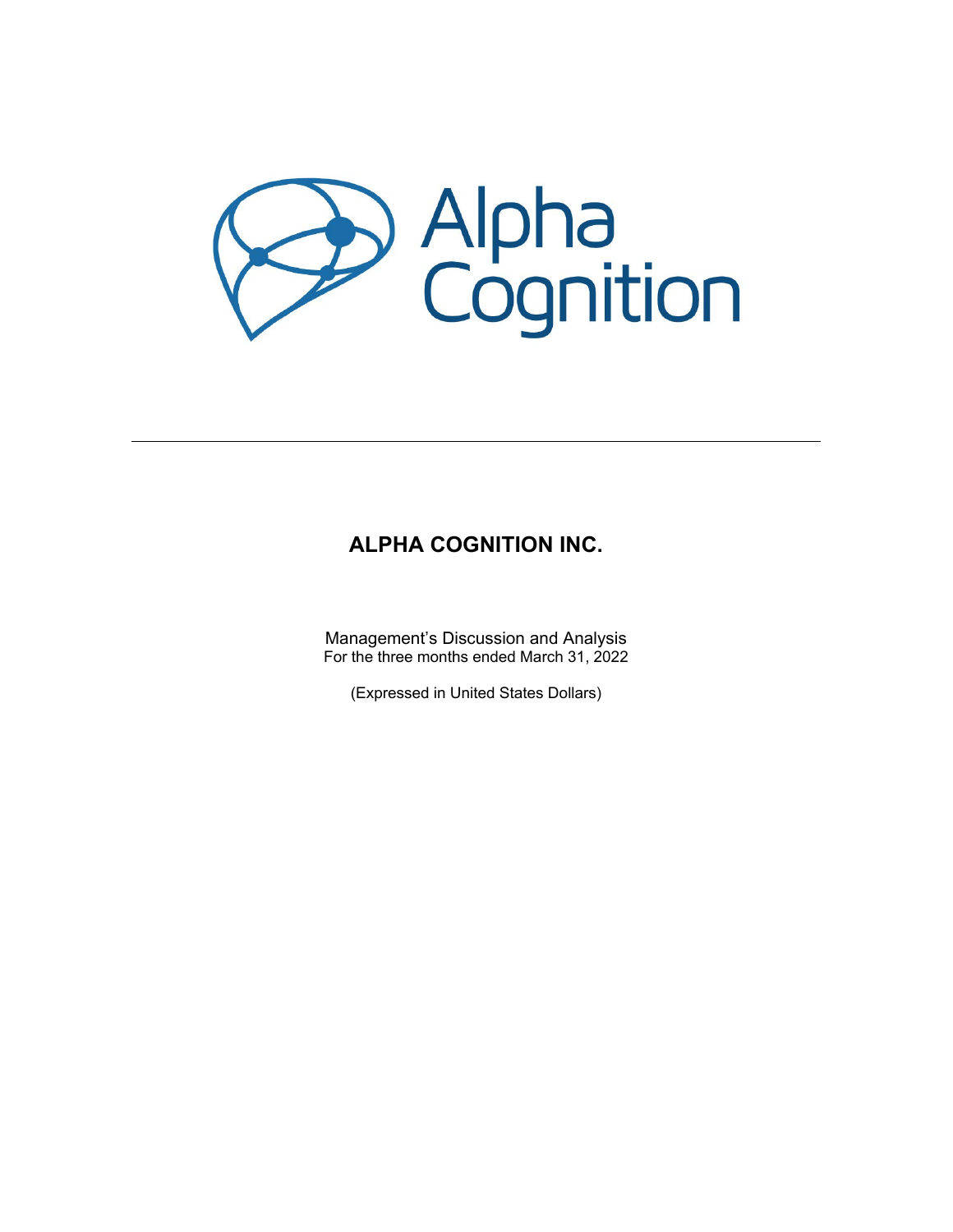

# **ALPHA COGNITION INC.**

Management's Discussion and Analysis For the three months ended March 31, 2022

(Expressed in United States Dollars)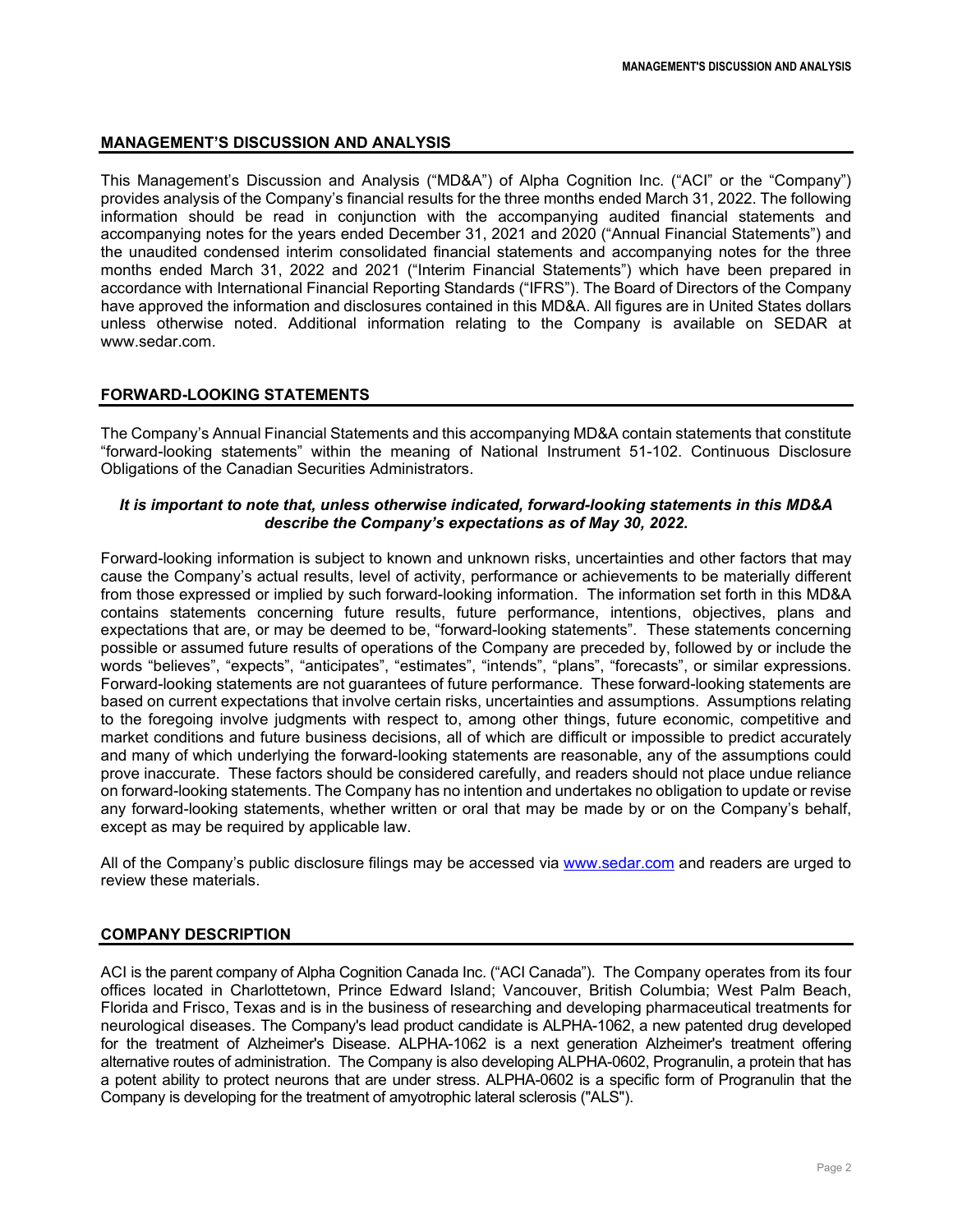# **MANAGEMENT'S DISCUSSION AND ANALYSIS**

This Management's Discussion and Analysis ("MD&A") of Alpha Cognition Inc. ("ACI" or the "Company") provides analysis of the Company's financial results for the three months ended March 31, 2022. The following information should be read in conjunction with the accompanying audited financial statements and accompanying notes for the years ended December 31, 2021 and 2020 ("Annual Financial Statements") and the unaudited condensed interim consolidated financial statements and accompanying notes for the three months ended March 31, 2022 and 2021 ("Interim Financial Statements") which have been prepared in accordance with International Financial Reporting Standards ("IFRS"). The Board of Directors of the Company have approved the information and disclosures contained in this MD&A. All figures are in United States dollars unless otherwise noted. Additional information relating to the Company is available on SEDAR at www.sedar.com.

# **FORWARD-LOOKING STATEMENTS**

The Company's Annual Financial Statements and this accompanying MD&A contain statements that constitute "forward-looking statements" within the meaning of National Instrument 51-102. Continuous Disclosure Obligations of the Canadian Securities Administrators.

## *It is important to note that, unless otherwise indicated, forward-looking statements in this MD&A describe the Company's expectations as of May 30, 2022.*

Forward-looking information is subject to known and unknown risks, uncertainties and other factors that may cause the Company's actual results, level of activity, performance or achievements to be materially different from those expressed or implied by such forward-looking information. The information set forth in this MD&A contains statements concerning future results, future performance, intentions, objectives, plans and expectations that are, or may be deemed to be, "forward-looking statements". These statements concerning possible or assumed future results of operations of the Company are preceded by, followed by or include the words "believes", "expects", "anticipates", "estimates", "intends", "plans", "forecasts", or similar expressions. Forward-looking statements are not guarantees of future performance. These forward-looking statements are based on current expectations that involve certain risks, uncertainties and assumptions. Assumptions relating to the foregoing involve judgments with respect to, among other things, future economic, competitive and market conditions and future business decisions, all of which are difficult or impossible to predict accurately and many of which underlying the forward-looking statements are reasonable, any of the assumptions could prove inaccurate. These factors should be considered carefully, and readers should not place undue reliance on forward-looking statements. The Company has no intention and undertakes no obligation to update or revise any forward-looking statements, whether written or oral that may be made by or on the Company's behalf, except as may be required by applicable law.

All of the Company's public disclosure filings may be accessed via [www.sedar.com](http://www.sedar.com/) and readers are urged to review these materials.

## **COMPANY DESCRIPTION**

ACI is the parent company of Alpha Cognition Canada Inc. ("ACI Canada"). The Company operates from its four offices located in Charlottetown, Prince Edward Island; Vancouver, British Columbia; West Palm Beach, Florida and Frisco, Texas and is in the business of researching and developing pharmaceutical treatments for neurological diseases. The Company's lead product candidate is ALPHA-1062, a new patented drug developed for the treatment of Alzheimer's Disease. ALPHA-1062 is a next generation Alzheimer's treatment offering alternative routes of administration. The Company is also developing ALPHA-0602, Progranulin, a protein that has a potent ability to protect neurons that are under stress. ALPHA-0602 is a specific form of Progranulin that the Company is developing for the treatment of amyotrophic lateral sclerosis ("ALS").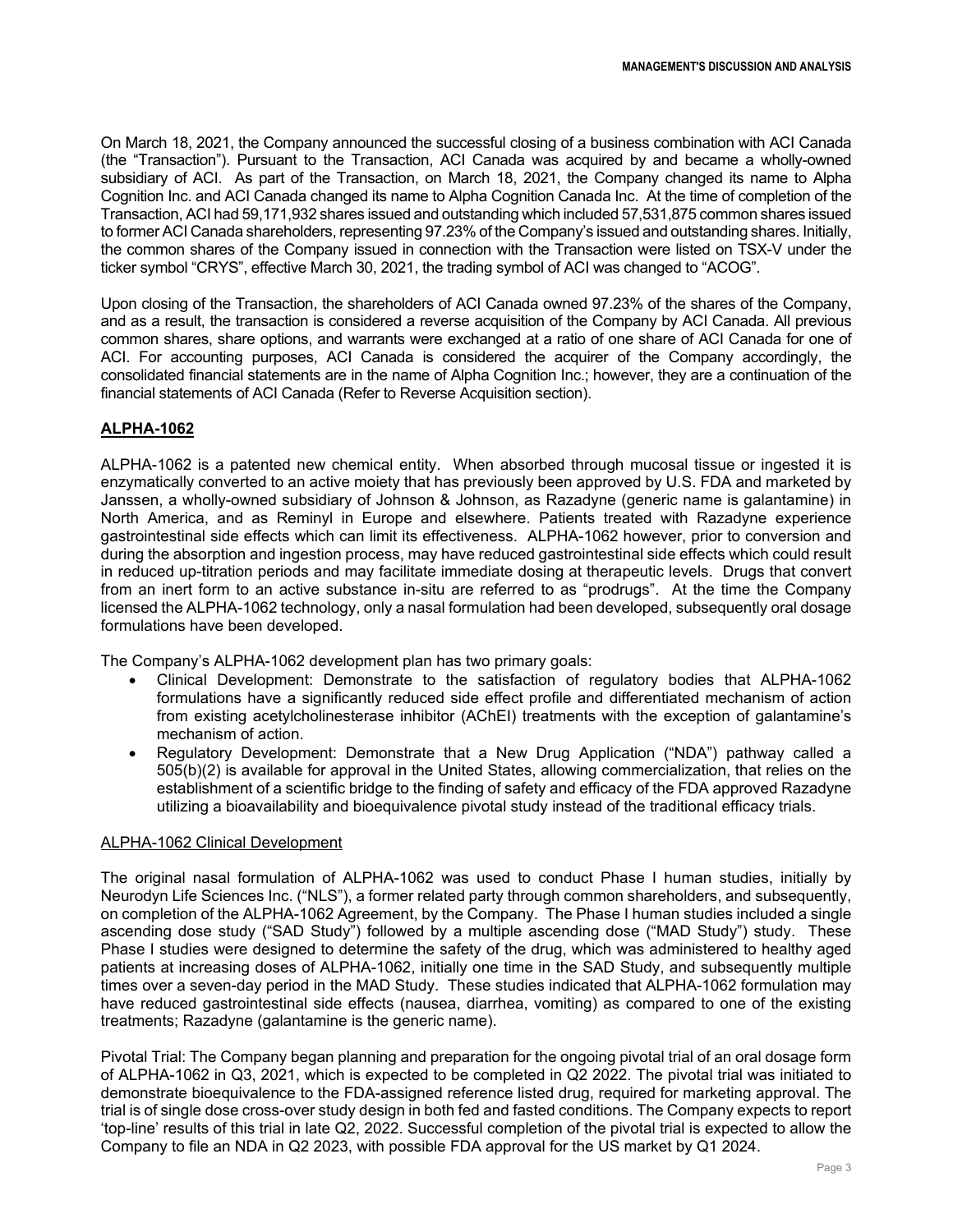On March 18, 2021, the Company announced the successful closing of a business combination with ACI Canada (the "Transaction"). Pursuant to the Transaction, ACI Canada was acquired by and became a wholly-owned subsidiary of ACI. As part of the Transaction, on March 18, 2021, the Company changed its name to Alpha Cognition Inc. and ACI Canada changed its name to Alpha Cognition Canada Inc. At the time of completion of the Transaction, ACI had 59,171,932 shares issued and outstanding which included 57,531,875 common shares issued to former ACI Canada shareholders, representing 97.23% of the Company's issued and outstanding shares. Initially, the common shares of the Company issued in connection with the Transaction were listed on TSX-V under the ticker symbol "CRYS", effective March 30, 2021, the trading symbol of ACI was changed to "ACOG".

Upon closing of the Transaction, the shareholders of ACI Canada owned 97.23% of the shares of the Company, and as a result, the transaction is considered a reverse acquisition of the Company by ACI Canada. All previous common shares, share options, and warrants were exchanged at a ratio of one share of ACI Canada for one of ACI. For accounting purposes, ACI Canada is considered the acquirer of the Company accordingly, the consolidated financial statements are in the name of Alpha Cognition Inc.; however, they are a continuation of the financial statements of ACI Canada (Refer to Reverse Acquisition section).

# **ALPHA-1062**

ALPHA-1062 is a patented new chemical entity. When absorbed through mucosal tissue or ingested it is enzymatically converted to an active moiety that has previously been approved by U.S. FDA and marketed by Janssen, a wholly-owned subsidiary of Johnson & Johnson, as Razadyne (generic name is galantamine) in North America, and as Reminyl in Europe and elsewhere. Patients treated with Razadyne experience gastrointestinal side effects which can limit its effectiveness. ALPHA-1062 however, prior to conversion and during the absorption and ingestion process, may have reduced gastrointestinal side effects which could result in reduced up-titration periods and may facilitate immediate dosing at therapeutic levels. Drugs that convert from an inert form to an active substance in-situ are referred to as "prodrugs". At the time the Company licensed the ALPHA-1062 technology, only a nasal formulation had been developed, subsequently oral dosage formulations have been developed.

The Company's ALPHA-1062 development plan has two primary goals:

- Clinical Development: Demonstrate to the satisfaction of regulatory bodies that ALPHA-1062 formulations have a significantly reduced side effect profile and differentiated mechanism of action from existing acetylcholinesterase inhibitor (AChEI) treatments with the exception of galantamine's mechanism of action.
- Regulatory Development: Demonstrate that a New Drug Application ("NDA") pathway called a 505(b)(2) is available for approval in the United States, allowing commercialization, that relies on the establishment of a scientific bridge to the finding of safety and efficacy of the FDA approved Razadyne utilizing a bioavailability and bioequivalence pivotal study instead of the traditional efficacy trials.

## ALPHA-1062 Clinical Development

The original nasal formulation of ALPHA-1062 was used to conduct Phase I human studies, initially by Neurodyn Life Sciences Inc. ("NLS"), a former related party through common shareholders, and subsequently, on completion of the ALPHA-1062 Agreement, by the Company. The Phase I human studies included a single ascending dose study ("SAD Study") followed by a multiple ascending dose ("MAD Study") study. These Phase I studies were designed to determine the safety of the drug, which was administered to healthy aged patients at increasing doses of ALPHA-1062, initially one time in the SAD Study, and subsequently multiple times over a seven-day period in the MAD Study. These studies indicated that ALPHA-1062 formulation may have reduced gastrointestinal side effects (nausea, diarrhea, vomiting) as compared to one of the existing treatments; Razadyne (galantamine is the generic name).

Pivotal Trial: The Company began planning and preparation for the ongoing pivotal trial of an oral dosage form of ALPHA-1062 in Q3, 2021, which is expected to be completed in Q2 2022. The pivotal trial was initiated to demonstrate bioequivalence to the FDA-assigned reference listed drug, required for marketing approval. The trial is of single dose cross-over study design in both fed and fasted conditions. The Company expects to report 'top-line' results of this trial in late Q2, 2022. Successful completion of the pivotal trial is expected to allow the Company to file an NDA in Q2 2023, with possible FDA approval for the US market by Q1 2024.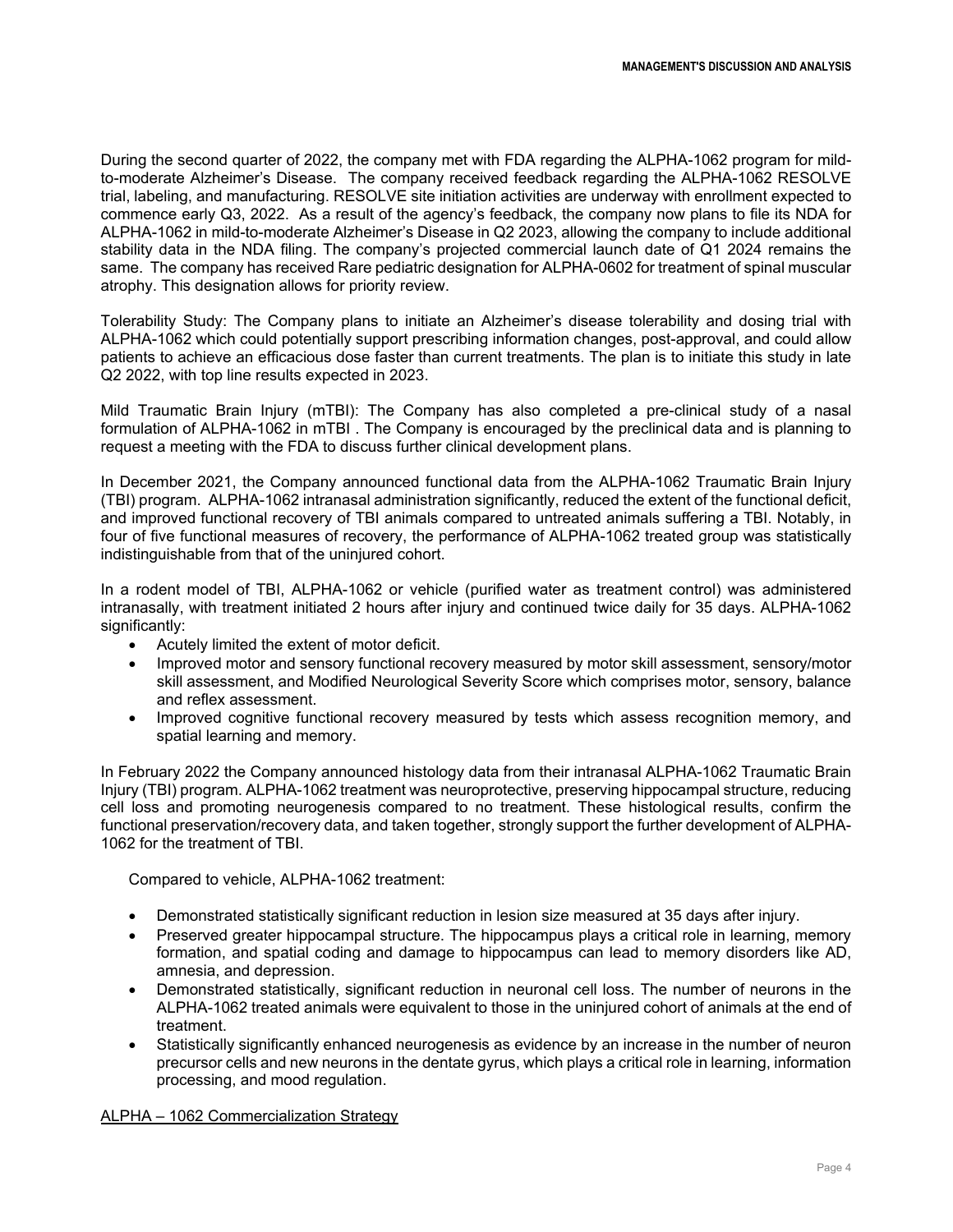During the second quarter of 2022, the company met with FDA regarding the ALPHA-1062 program for mildto-moderate Alzheimer's Disease. The company received feedback regarding the ALPHA-1062 RESOLVE trial, labeling, and manufacturing. RESOLVE site initiation activities are underway with enrollment expected to commence early Q3, 2022. As a result of the agency's feedback, the company now plans to file its NDA for ALPHA-1062 in mild-to-moderate Alzheimer's Disease in Q2 2023, allowing the company to include additional stability data in the NDA filing. The company's projected commercial launch date of Q1 2024 remains the same. The company has received Rare pediatric designation for ALPHA-0602 for treatment of spinal muscular atrophy. This designation allows for priority review.

Tolerability Study: The Company plans to initiate an Alzheimer's disease tolerability and dosing trial with ALPHA-1062 which could potentially support prescribing information changes, post-approval, and could allow patients to achieve an efficacious dose faster than current treatments. The plan is to initiate this study in late Q2 2022, with top line results expected in 2023.

Mild Traumatic Brain Injury (mTBI): The Company has also completed a pre-clinical study of a nasal formulation of ALPHA-1062 in mTBI . The Company is encouraged by the preclinical data and is planning to request a meeting with the FDA to discuss further clinical development plans.

In December 2021, the Company announced functional data from the ALPHA-1062 Traumatic Brain Injury (TBI) program. ALPHA-1062 intranasal administration significantly, reduced the extent of the functional deficit, and improved functional recovery of TBI animals compared to untreated animals suffering a TBI. Notably, in four of five functional measures of recovery, the performance of ALPHA-1062 treated group was statistically indistinguishable from that of the uninjured cohort.

In a rodent model of TBI, ALPHA-1062 or vehicle (purified water as treatment control) was administered intranasally, with treatment initiated 2 hours after injury and continued twice daily for 35 days. ALPHA-1062 significantly:

- Acutely limited the extent of motor deficit.
- Improved motor and sensory functional recovery measured by motor skill assessment, sensory/motor skill assessment, and Modified Neurological Severity Score which comprises motor, sensory, balance and reflex assessment.
- Improved cognitive functional recovery measured by tests which assess recognition memory, and spatial learning and memory.

In February 2022 the Company announced histology data from their intranasal ALPHA-1062 Traumatic Brain Injury (TBI) program. ALPHA-1062 treatment was neuroprotective, preserving hippocampal structure, reducing cell loss and promoting neurogenesis compared to no treatment. These histological results, confirm the functional preservation/recovery data, and taken together, strongly support the further development of ALPHA-1062 for the treatment of TBI.

Compared to vehicle, ALPHA-1062 treatment:

- Demonstrated statistically significant reduction in lesion size measured at 35 days after injury.
- Preserved greater hippocampal structure. The hippocampus plays a critical role in learning, memory formation, and spatial coding and damage to hippocampus can lead to memory disorders like AD, amnesia, and depression.
- Demonstrated statistically, significant reduction in neuronal cell loss. The number of neurons in the ALPHA-1062 treated animals were equivalent to those in the uninjured cohort of animals at the end of treatment.
- Statistically significantly enhanced neurogenesis as evidence by an increase in the number of neuron precursor cells and new neurons in the dentate gyrus, which plays a critical role in learning, information processing, and mood regulation.

ALPHA – 1062 Commercialization Strategy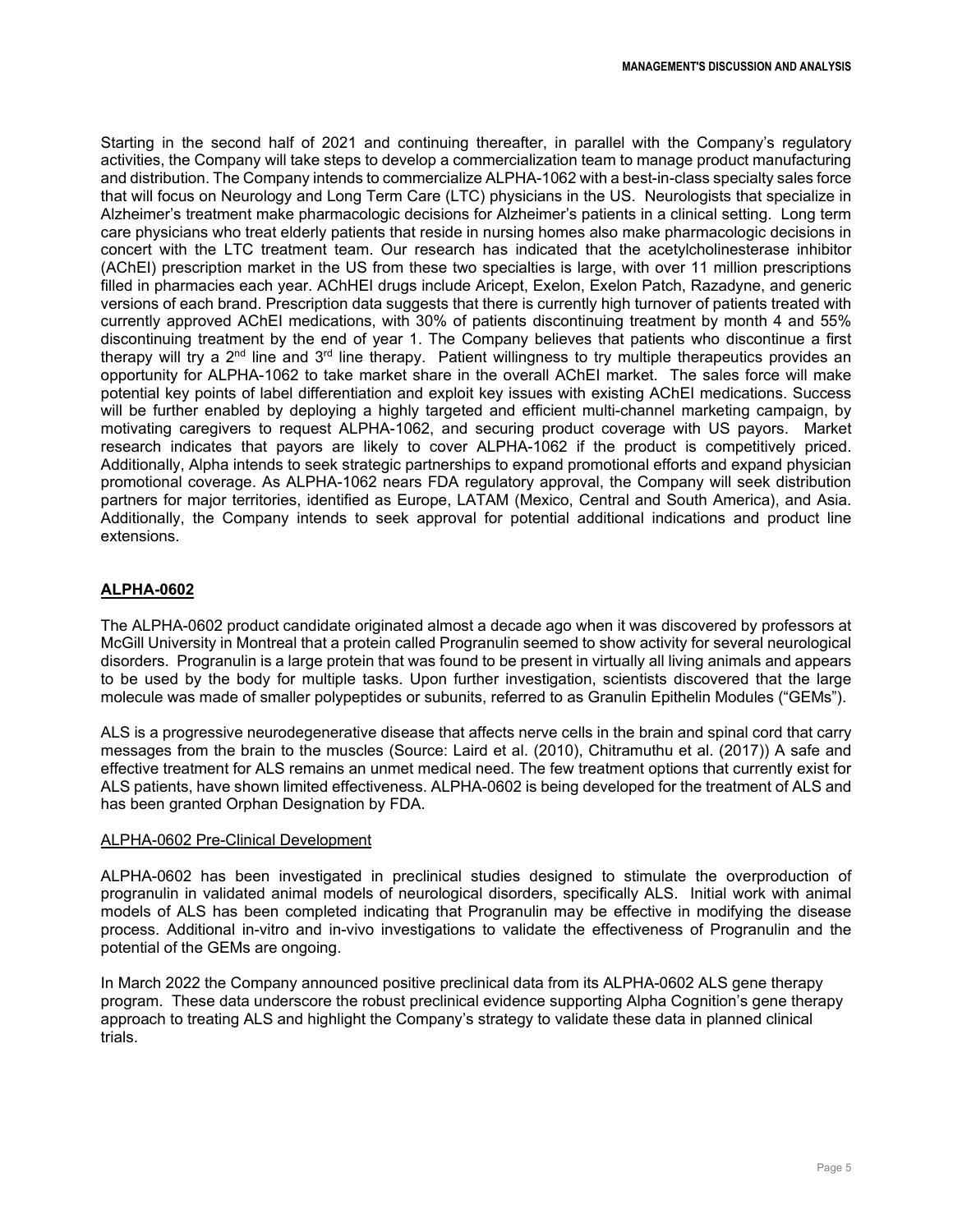Starting in the second half of 2021 and continuing thereafter, in parallel with the Company's regulatory activities, the Company will take steps to develop a commercialization team to manage product manufacturing and distribution. The Company intends to commercialize ALPHA-1062 with a best-in-class specialty sales force that will focus on Neurology and Long Term Care (LTC) physicians in the US. Neurologists that specialize in Alzheimer's treatment make pharmacologic decisions for Alzheimer's patients in a clinical setting. Long term care physicians who treat elderly patients that reside in nursing homes also make pharmacologic decisions in concert with the LTC treatment team. Our research has indicated that the acetylcholinesterase inhibitor (AChEI) prescription market in the US from these two specialties is large, with over 11 million prescriptions filled in pharmacies each year. AChHEI drugs include Aricept, Exelon, Exelon Patch, Razadyne, and generic versions of each brand. Prescription data suggests that there is currently high turnover of patients treated with currently approved AChEI medications, with 30% of patients discontinuing treatment by month 4 and 55% discontinuing treatment by the end of year 1. The Company believes that patients who discontinue a first therapy will try a 2<sup>nd</sup> line and 3<sup>rd</sup> line therapy. Patient willingness to try multiple therapeutics provides an opportunity for ALPHA-1062 to take market share in the overall AChEI market. The sales force will make potential key points of label differentiation and exploit key issues with existing AChEI medications. Success will be further enabled by deploying a highly targeted and efficient multi-channel marketing campaign, by motivating caregivers to request ALPHA-1062, and securing product coverage with US payors. Market research indicates that payors are likely to cover ALPHA-1062 if the product is competitively priced. Additionally, Alpha intends to seek strategic partnerships to expand promotional efforts and expand physician promotional coverage. As ALPHA-1062 nears FDA regulatory approval, the Company will seek distribution partners for major territories, identified as Europe, LATAM (Mexico, Central and South America), and Asia. Additionally, the Company intends to seek approval for potential additional indications and product line extensions.

# **ALPHA-0602**

The ALPHA-0602 product candidate originated almost a decade ago when it was discovered by professors at McGill University in Montreal that a protein called Progranulin seemed to show activity for several neurological disorders. Progranulin is a large protein that was found to be present in virtually all living animals and appears to be used by the body for multiple tasks. Upon further investigation, scientists discovered that the large molecule was made of smaller polypeptides or subunits, referred to as Granulin Epithelin Modules ("GEMs").

ALS is a progressive neurodegenerative disease that affects nerve cells in the brain and spinal cord that carry messages from the brain to the muscles (Source: Laird et al. (2010), Chitramuthu et al. (2017)) A safe and effective treatment for ALS remains an unmet medical need. The few treatment options that currently exist for ALS patients, have shown limited effectiveness. ALPHA-0602 is being developed for the treatment of ALS and has been granted Orphan Designation by FDA.

## ALPHA-0602 Pre-Clinical Development

ALPHA-0602 has been investigated in preclinical studies designed to stimulate the overproduction of progranulin in validated animal models of neurological disorders, specifically ALS. Initial work with animal models of ALS has been completed indicating that Progranulin may be effective in modifying the disease process. Additional in-vitro and in-vivo investigations to validate the effectiveness of Progranulin and the potential of the GEMs are ongoing.

In March 2022 the Company announced positive preclinical data from its ALPHA-0602 ALS gene therapy program. These data underscore the robust preclinical evidence supporting Alpha Cognition's gene therapy approach to treating ALS and highlight the Company's strategy to validate these data in planned clinical trials.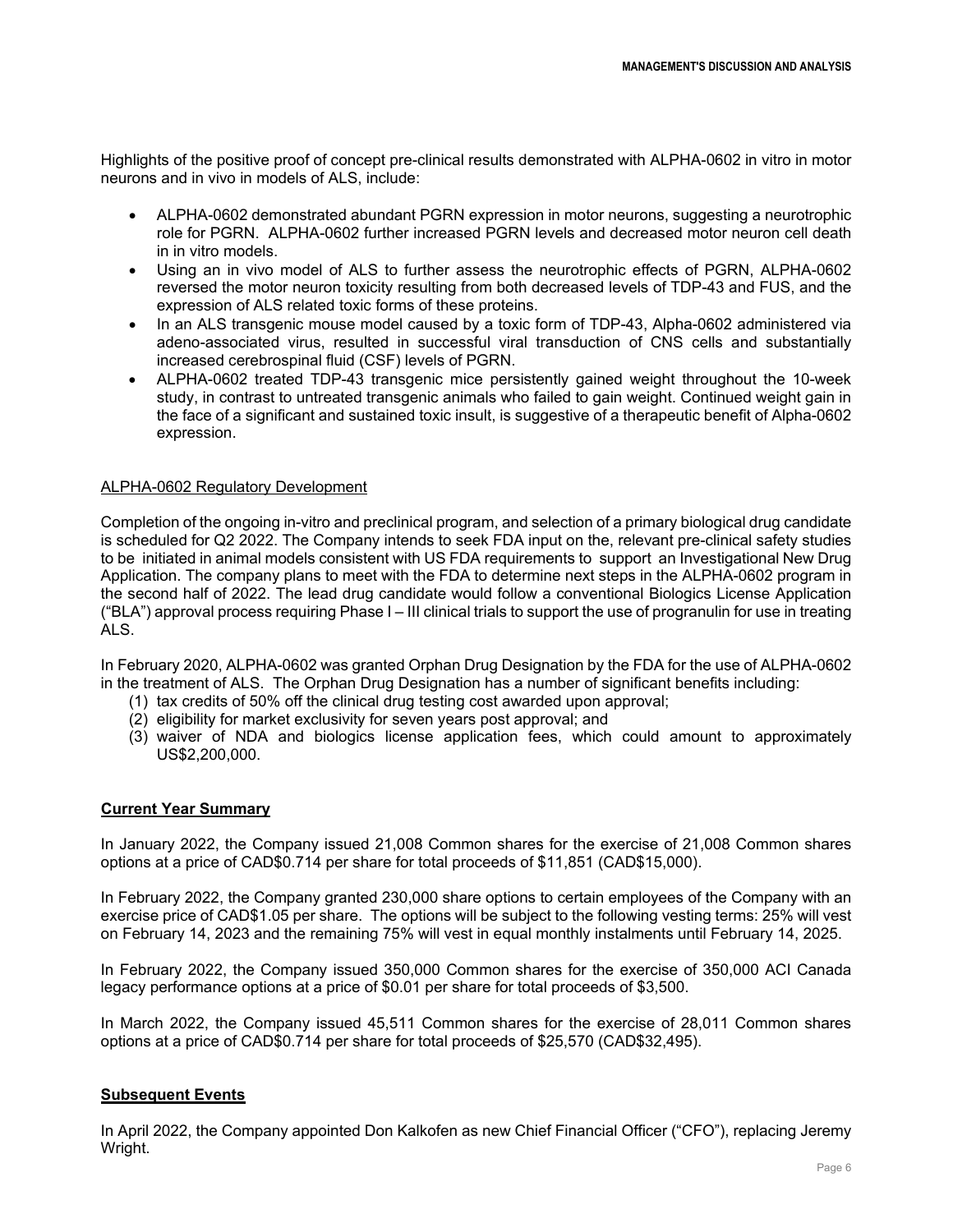Highlights of the positive proof of concept pre-clinical results demonstrated with ALPHA-0602 in vitro in motor neurons and in vivo in models of ALS, include:

- ALPHA-0602 demonstrated abundant PGRN expression in motor neurons, suggesting a neurotrophic role for PGRN. ALPHA-0602 further increased PGRN levels and decreased motor neuron cell death in in vitro models.
- Using an in vivo model of ALS to further assess the neurotrophic effects of PGRN, ALPHA-0602 reversed the motor neuron toxicity resulting from both decreased levels of TDP-43 and FUS, and the expression of ALS related toxic forms of these proteins.
- In an ALS transgenic mouse model caused by a toxic form of TDP-43, Alpha-0602 administered via adeno-associated virus, resulted in successful viral transduction of CNS cells and substantially increased cerebrospinal fluid (CSF) levels of PGRN.
- ALPHA-0602 treated TDP-43 transgenic mice persistently gained weight throughout the 10-week study, in contrast to untreated transgenic animals who failed to gain weight. Continued weight gain in the face of a significant and sustained toxic insult, is suggestive of a therapeutic benefit of Alpha-0602 expression.

# ALPHA-0602 Regulatory Development

Completion of the ongoing in-vitro and preclinical program, and selection of a primary biological drug candidate is scheduled for Q2 2022. The Company intends to seek FDA input on the, relevant pre-clinical safety studies to be initiated in animal models consistent with US FDA requirements to support an Investigational New Drug Application. The company plans to meet with the FDA to determine next steps in the ALPHA-0602 program in the second half of 2022. The lead drug candidate would follow a conventional Biologics License Application ("BLA") approval process requiring Phase I – III clinical trials to support the use of progranulin for use in treating ALS.

In February 2020, ALPHA-0602 was granted Orphan Drug Designation by the FDA for the use of ALPHA-0602 in the treatment of ALS. The Orphan Drug Designation has a number of significant benefits including:

- (1) tax credits of 50% off the clinical drug testing cost awarded upon approval;
- (2) eligibility for market exclusivity for seven years post approval; and
- (3) waiver of NDA and biologics license application fees, which could amount to approximately US\$2,200,000.

## **Current Year Summary**

In January 2022, the Company issued 21,008 Common shares for the exercise of 21,008 Common shares options at a price of CAD\$0.714 per share for total proceeds of \$11,851 (CAD\$15,000).

In February 2022, the Company granted 230,000 share options to certain employees of the Company with an exercise price of CAD\$1.05 per share. The options will be subject to the following vesting terms: 25% will vest on February 14, 2023 and the remaining 75% will vest in equal monthly instalments until February 14, 2025.

In February 2022, the Company issued 350,000 Common shares for the exercise of 350,000 ACI Canada legacy performance options at a price of \$0.01 per share for total proceeds of \$3,500.

In March 2022, the Company issued 45,511 Common shares for the exercise of 28,011 Common shares options at a price of CAD\$0.714 per share for total proceeds of \$25,570 (CAD\$32,495).

# **Subsequent Events**

In April 2022, the Company appointed Don Kalkofen as new Chief Financial Officer ("CFO"), replacing Jeremy Wright.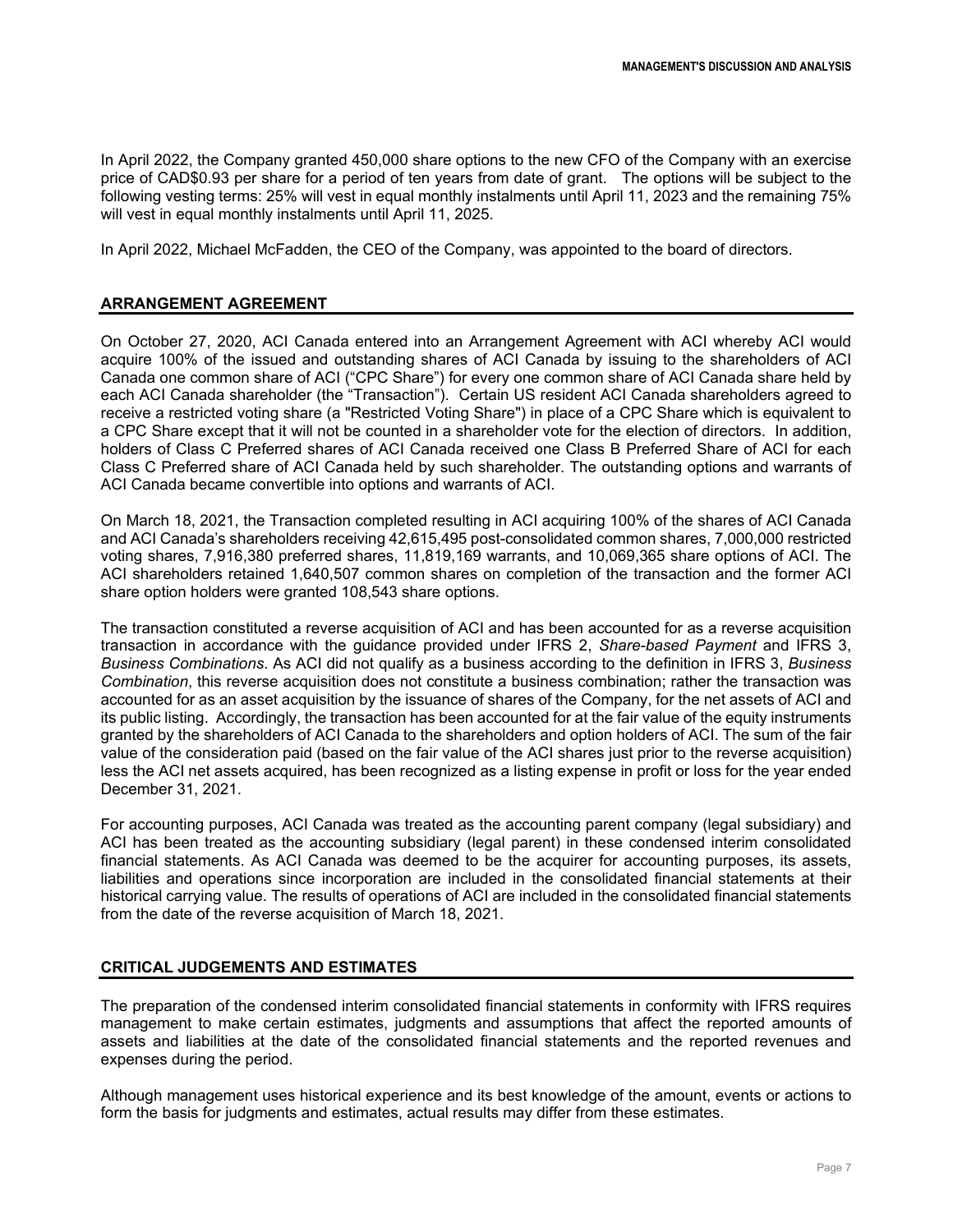In April 2022, the Company granted 450,000 share options to the new CFO of the Company with an exercise price of CAD\$0.93 per share for a period of ten years from date of grant. The options will be subject to the following vesting terms: 25% will vest in equal monthly instalments until April 11, 2023 and the remaining 75% will vest in equal monthly instalments until April 11, 2025.

In April 2022, Michael McFadden, the CEO of the Company, was appointed to the board of directors.

## **ARRANGEMENT AGREEMENT**

On October 27, 2020, ACI Canada entered into an Arrangement Agreement with ACI whereby ACI would acquire 100% of the issued and outstanding shares of ACI Canada by issuing to the shareholders of ACI Canada one common share of ACI ("CPC Share") for every one common share of ACI Canada share held by each ACI Canada shareholder (the "Transaction"). Certain US resident ACI Canada shareholders agreed to receive a restricted voting share (a "Restricted Voting Share") in place of a CPC Share which is equivalent to a CPC Share except that it will not be counted in a shareholder vote for the election of directors. In addition, holders of Class C Preferred shares of ACI Canada received one Class B Preferred Share of ACI for each Class C Preferred share of ACI Canada held by such shareholder. The outstanding options and warrants of ACI Canada became convertible into options and warrants of ACI.

On March 18, 2021, the Transaction completed resulting in ACI acquiring 100% of the shares of ACI Canada and ACI Canada's shareholders receiving 42,615,495 post-consolidated common shares, 7,000,000 restricted voting shares, 7,916,380 preferred shares, 11,819,169 warrants, and 10,069,365 share options of ACI. The ACI shareholders retained 1,640,507 common shares on completion of the transaction and the former ACI share option holders were granted 108,543 share options.

The transaction constituted a reverse acquisition of ACI and has been accounted for as a reverse acquisition transaction in accordance with the guidance provided under IFRS 2, *Share-based Payment* and IFRS 3, *Business Combinations*. As ACI did not qualify as a business according to the definition in IFRS 3, *Business Combination*, this reverse acquisition does not constitute a business combination; rather the transaction was accounted for as an asset acquisition by the issuance of shares of the Company, for the net assets of ACI and its public listing. Accordingly, the transaction has been accounted for at the fair value of the equity instruments granted by the shareholders of ACI Canada to the shareholders and option holders of ACI. The sum of the fair value of the consideration paid (based on the fair value of the ACI shares just prior to the reverse acquisition) less the ACI net assets acquired, has been recognized as a listing expense in profit or loss for the year ended December 31, 2021.

For accounting purposes, ACI Canada was treated as the accounting parent company (legal subsidiary) and ACI has been treated as the accounting subsidiary (legal parent) in these condensed interim consolidated financial statements. As ACI Canada was deemed to be the acquirer for accounting purposes, its assets, liabilities and operations since incorporation are included in the consolidated financial statements at their historical carrying value. The results of operations of ACI are included in the consolidated financial statements from the date of the reverse acquisition of March 18, 2021.

## **CRITICAL JUDGEMENTS AND ESTIMATES**

The preparation of the condensed interim consolidated financial statements in conformity with IFRS requires management to make certain estimates, judgments and assumptions that affect the reported amounts of assets and liabilities at the date of the consolidated financial statements and the reported revenues and expenses during the period.

Although management uses historical experience and its best knowledge of the amount, events or actions to form the basis for judgments and estimates, actual results may differ from these estimates.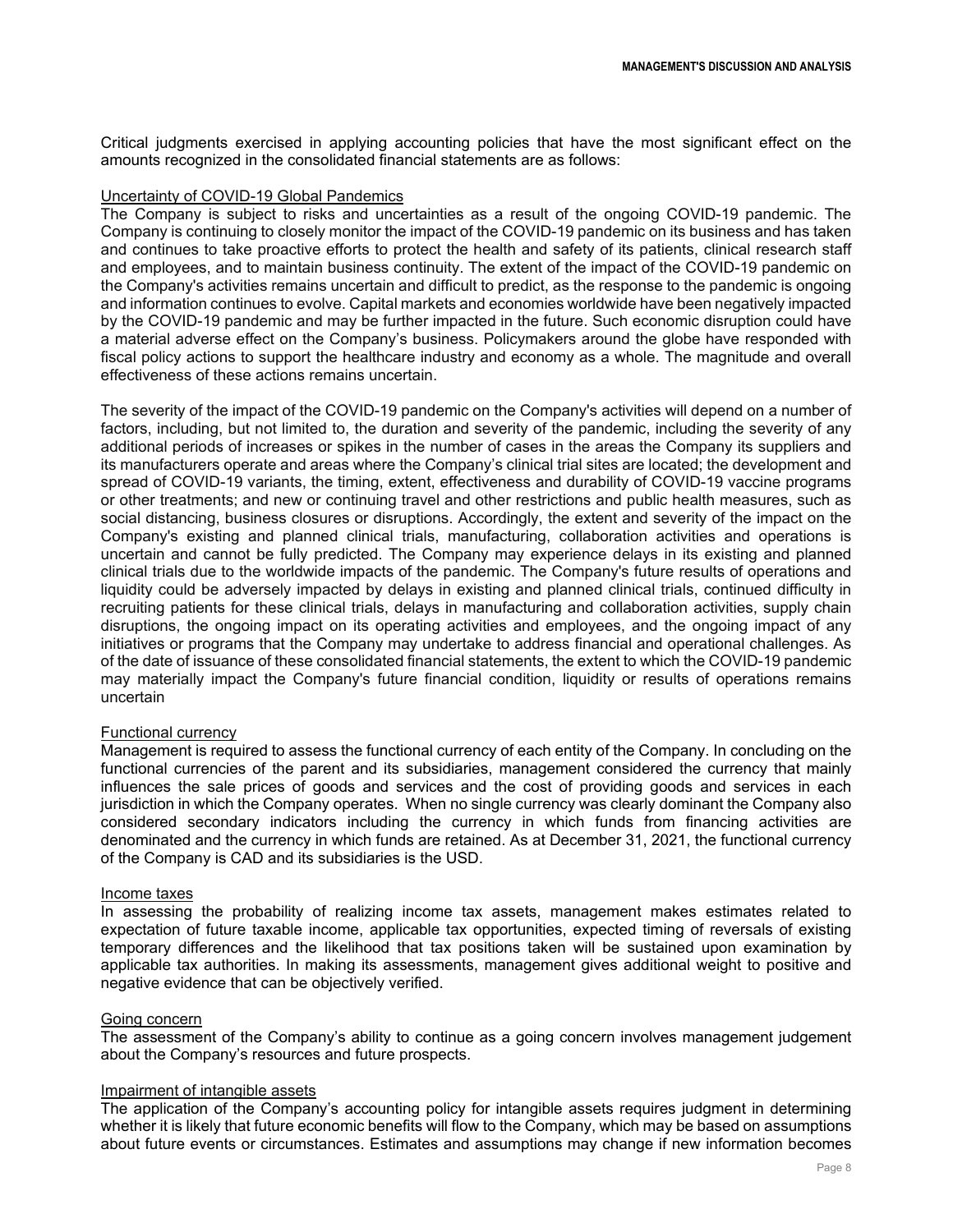Critical judgments exercised in applying accounting policies that have the most significant effect on the amounts recognized in the consolidated financial statements are as follows:

#### Uncertainty of COVID-19 Global Pandemics

The Company is subject to risks and uncertainties as a result of the ongoing COVID-19 pandemic. The Company is continuing to closely monitor the impact of the COVID-19 pandemic on its business and has taken and continues to take proactive efforts to protect the health and safety of its patients, clinical research staff and employees, and to maintain business continuity. The extent of the impact of the COVID-19 pandemic on the Company's activities remains uncertain and difficult to predict, as the response to the pandemic is ongoing and information continues to evolve. Capital markets and economies worldwide have been negatively impacted by the COVID-19 pandemic and may be further impacted in the future. Such economic disruption could have a material adverse effect on the Company's business. Policymakers around the globe have responded with fiscal policy actions to support the healthcare industry and economy as a whole. The magnitude and overall effectiveness of these actions remains uncertain.

The severity of the impact of the COVID-19 pandemic on the Company's activities will depend on a number of factors, including, but not limited to, the duration and severity of the pandemic, including the severity of any additional periods of increases or spikes in the number of cases in the areas the Company its suppliers and its manufacturers operate and areas where the Company's clinical trial sites are located; the development and spread of COVID-19 variants, the timing, extent, effectiveness and durability of COVID-19 vaccine programs or other treatments; and new or continuing travel and other restrictions and public health measures, such as social distancing, business closures or disruptions. Accordingly, the extent and severity of the impact on the Company's existing and planned clinical trials, manufacturing, collaboration activities and operations is uncertain and cannot be fully predicted. The Company may experience delays in its existing and planned clinical trials due to the worldwide impacts of the pandemic. The Company's future results of operations and liquidity could be adversely impacted by delays in existing and planned clinical trials, continued difficulty in recruiting patients for these clinical trials, delays in manufacturing and collaboration activities, supply chain disruptions, the ongoing impact on its operating activities and employees, and the ongoing impact of any initiatives or programs that the Company may undertake to address financial and operational challenges. As of the date of issuance of these consolidated financial statements, the extent to which the COVID-19 pandemic may materially impact the Company's future financial condition, liquidity or results of operations remains uncertain

#### Functional currency

Management is required to assess the functional currency of each entity of the Company. In concluding on the functional currencies of the parent and its subsidiaries, management considered the currency that mainly influences the sale prices of goods and services and the cost of providing goods and services in each jurisdiction in which the Company operates. When no single currency was clearly dominant the Company also considered secondary indicators including the currency in which funds from financing activities are denominated and the currency in which funds are retained. As at December 31, 2021, the functional currency of the Company is CAD and its subsidiaries is the USD.

#### Income taxes

In assessing the probability of realizing income tax assets, management makes estimates related to expectation of future taxable income, applicable tax opportunities, expected timing of reversals of existing temporary differences and the likelihood that tax positions taken will be sustained upon examination by applicable tax authorities. In making its assessments, management gives additional weight to positive and negative evidence that can be objectively verified.

#### Going concern

The assessment of the Company's ability to continue as a going concern involves management judgement about the Company's resources and future prospects.

#### Impairment of intangible assets

The application of the Company's accounting policy for intangible assets requires judgment in determining whether it is likely that future economic benefits will flow to the Company, which may be based on assumptions about future events or circumstances. Estimates and assumptions may change if new information becomes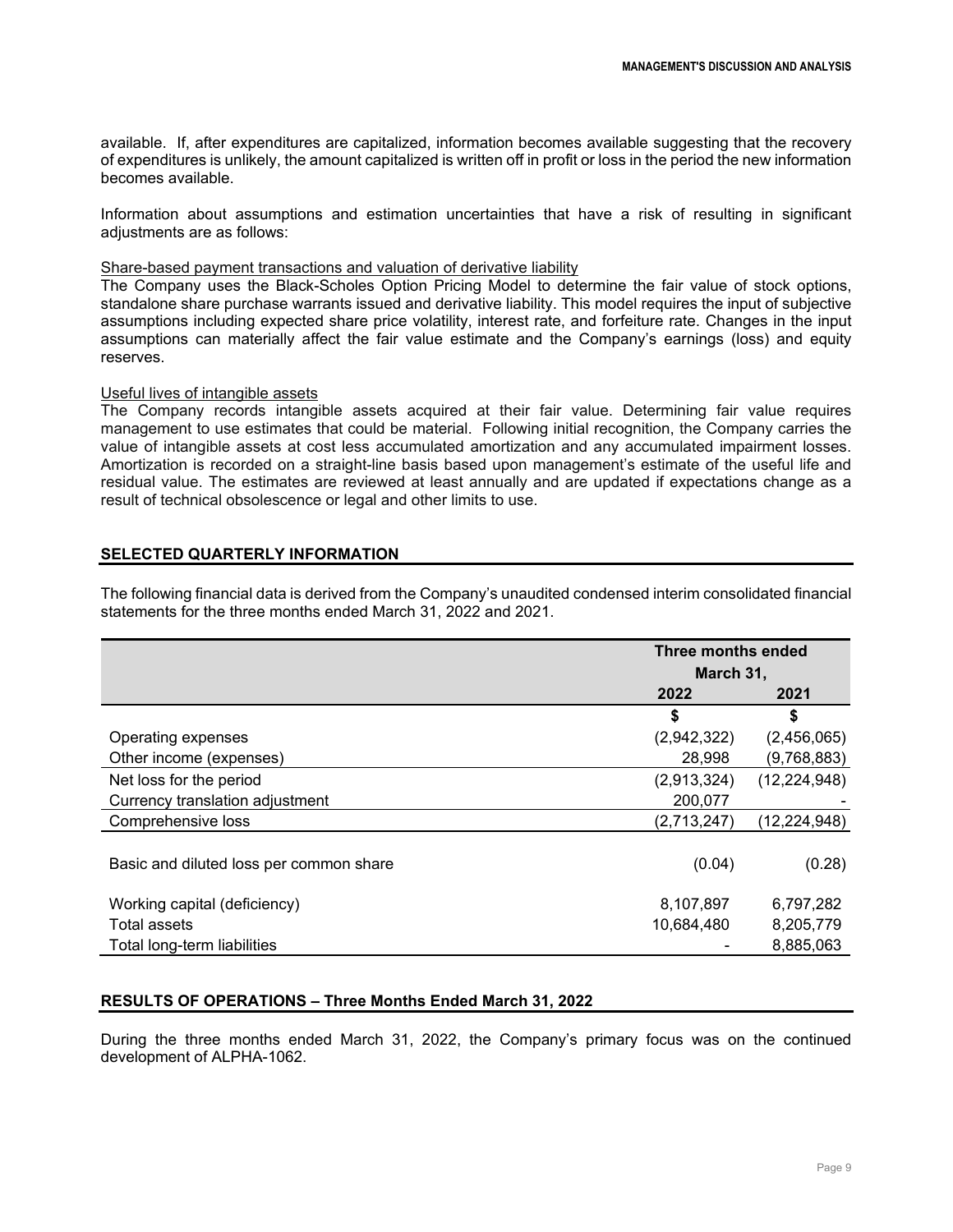available. If, after expenditures are capitalized, information becomes available suggesting that the recovery of expenditures is unlikely, the amount capitalized is written off in profit or loss in the period the new information becomes available.

Information about assumptions and estimation uncertainties that have a risk of resulting in significant adjustments are as follows:

## Share-based payment transactions and valuation of derivative liability

The Company uses the Black-Scholes Option Pricing Model to determine the fair value of stock options, standalone share purchase warrants issued and derivative liability. This model requires the input of subjective assumptions including expected share price volatility, interest rate, and forfeiture rate. Changes in the input assumptions can materially affect the fair value estimate and the Company's earnings (loss) and equity reserves.

## Useful lives of intangible assets

The Company records intangible assets acquired at their fair value. Determining fair value requires management to use estimates that could be material. Following initial recognition, the Company carries the value of intangible assets at cost less accumulated amortization and any accumulated impairment losses. Amortization is recorded on a straight-line basis based upon management's estimate of the useful life and residual value. The estimates are reviewed at least annually and are updated if expectations change as a result of technical obsolescence or legal and other limits to use.

## **SELECTED QUARTERLY INFORMATION**

The following financial data is derived from the Company's unaudited condensed interim consolidated financial statements for the three months ended March 31, 2022 and 2021.

|                                         | Three months ended |                |
|-----------------------------------------|--------------------|----------------|
|                                         | March 31,          |                |
|                                         | 2022               | 2021           |
|                                         | \$                 | \$             |
| Operating expenses                      | (2,942,322)        | (2,456,065)    |
| Other income (expenses)                 | 28,998             | (9,768,883)    |
| Net loss for the period                 | (2,913,324)        | (12, 224, 948) |
| Currency translation adjustment         | 200,077            |                |
| Comprehensive loss                      | (2,713,247)        | (12,224,948)   |
| Basic and diluted loss per common share | (0.04)             | (0.28)         |
| Working capital (deficiency)            | 8,107,897          | 6,797,282      |
| Total assets                            | 10,684,480         | 8,205,779      |
| Total long-term liabilities             |                    | 8,885,063      |

## **RESULTS OF OPERATIONS – Three Months Ended March 31, 2022**

During the three months ended March 31, 2022, the Company's primary focus was on the continued development of ALPHA-1062.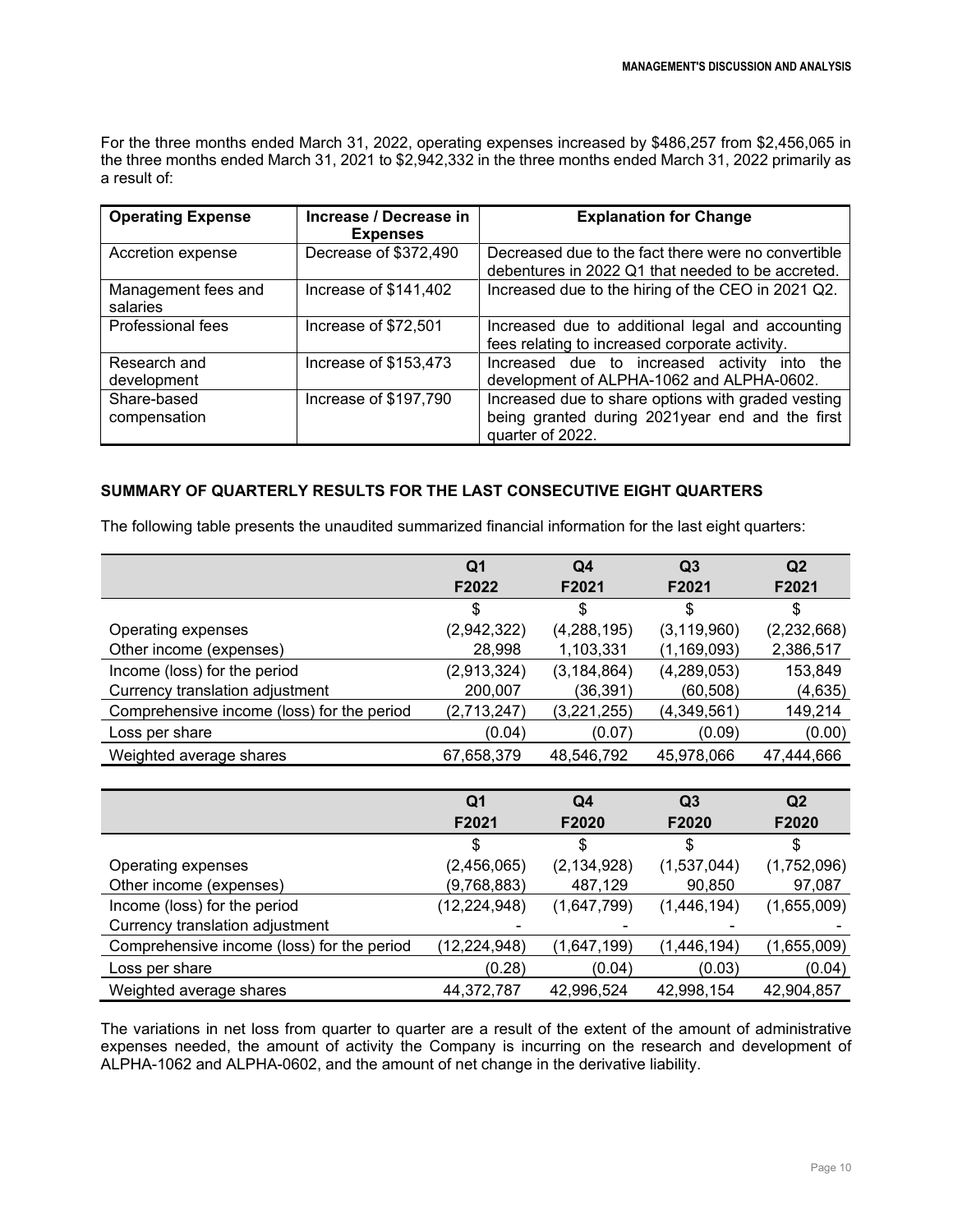For the three months ended March 31, 2022, operating expenses increased by \$486,257 from \$2,456,065 in the three months ended March 31, 2021 to \$2,942,332 in the three months ended March 31, 2022 primarily as a result of:

| <b>Operating Expense</b>        | Increase / Decrease in<br><b>Expenses</b> | <b>Explanation for Change</b>                                                                                             |
|---------------------------------|-------------------------------------------|---------------------------------------------------------------------------------------------------------------------------|
| Accretion expense               | Decrease of \$372,490                     | Decreased due to the fact there were no convertible<br>debentures in 2022 Q1 that needed to be accreted.                  |
| Management fees and<br>salaries | Increase of \$141,402                     | Increased due to the hiring of the CEO in 2021 Q2.                                                                        |
| Professional fees               | Increase of \$72,501                      | Increased due to additional legal and accounting<br>fees relating to increased corporate activity.                        |
| Research and<br>development     | Increase of \$153,473                     | Increased due to increased activity<br>into the<br>development of ALPHA-1062 and ALPHA-0602.                              |
| Share-based<br>compensation     | Increase of \$197,790                     | Increased due to share options with graded vesting<br>being granted during 2021year end and the first<br>quarter of 2022. |

# **SUMMARY OF QUARTERLY RESULTS FOR THE LAST CONSECUTIVE EIGHT QUARTERS**

The following table presents the unaudited summarized financial information for the last eight quarters:

|                                            | Q1          | Q4            | Q3            | Q <sub>2</sub> |
|--------------------------------------------|-------------|---------------|---------------|----------------|
|                                            | F2022       | F2021         | F2021         | F2021          |
|                                            | \$          | \$            | \$            | S              |
| Operating expenses                         | (2,942,322) | (4, 288, 195) | (3, 119, 960) | (2,232,668)    |
| Other income (expenses)                    | 28,998      | 1,103,331     | (1, 169, 093) | 2,386,517      |
| Income (loss) for the period               | (2,913,324) | (3, 184, 864) | (4,289,053)   | 153,849        |
| Currency translation adjustment            | 200,007     | (36, 391)     | (60, 508)     | (4,635)        |
| Comprehensive income (loss) for the period | (2,713,247) | (3,221,255)   | (4,349,561)   | 149,214        |
| Loss per share                             | (0.04)      | (0.07)        | (0.09)        | (0.00)         |
| Weighted average shares                    | 67,658,379  | 48,546,792    | 45,978,066    | 47,444,666     |

|                                            | Q1             | Q4            | Q <sub>3</sub> | Q <sub>2</sub> |
|--------------------------------------------|----------------|---------------|----------------|----------------|
|                                            | F2021          | F2020         | F2020          | F2020          |
|                                            | S              | \$            | S              |                |
| Operating expenses                         | (2,456,065)    | (2, 134, 928) | (1,537,044)    | (1,752,096)    |
| Other income (expenses)                    | (9,768,883)    | 487,129       | 90,850         | 97,087         |
| Income (loss) for the period               | (12, 224, 948) | (1,647,799)   | (1,446,194)    | (1,655,009)    |
| Currency translation adjustment            |                |               |                |                |
| Comprehensive income (loss) for the period | (12, 224, 948) | (1,647,199)   | (1,446,194)    | (1,655,009)    |
| Loss per share                             | (0.28)         | (0.04)        | (0.03)         | (0.04)         |
| Weighted average shares                    | 44,372,787     | 42,996,524    | 42,998,154     | 42,904,857     |

The variations in net loss from quarter to quarter are a result of the extent of the amount of administrative expenses needed, the amount of activity the Company is incurring on the research and development of ALPHA-1062 and ALPHA-0602, and the amount of net change in the derivative liability.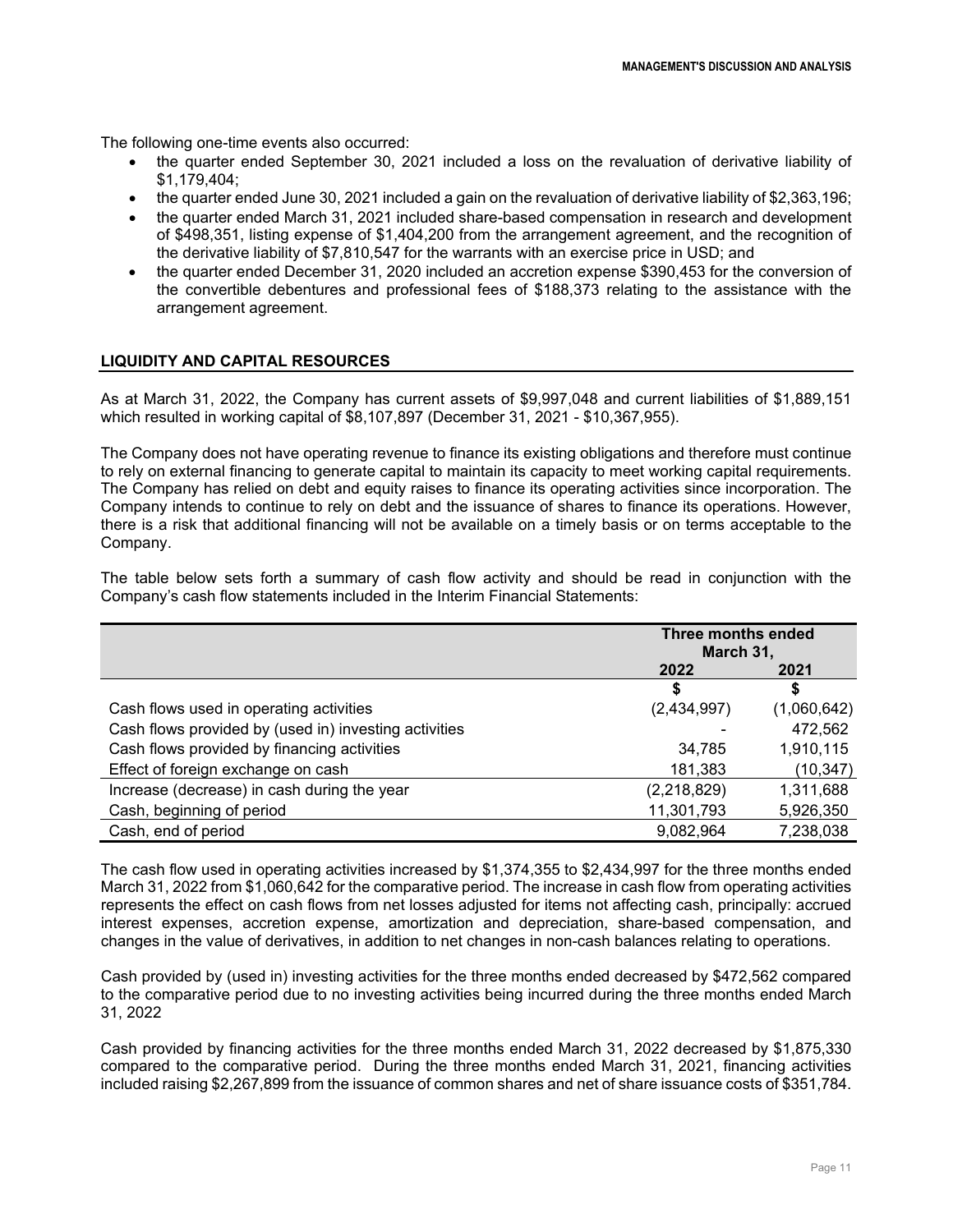The following one-time events also occurred:

- the quarter ended September 30, 2021 included a loss on the revaluation of derivative liability of \$1,179,404;
- the quarter ended June 30, 2021 included a gain on the revaluation of derivative liability of \$2,363,196;
- the quarter ended March 31, 2021 included share-based compensation in research and development of \$498,351, listing expense of \$1,404,200 from the arrangement agreement, and the recognition of the derivative liability of \$7,810,547 for the warrants with an exercise price in USD; and
- the quarter ended December 31, 2020 included an accretion expense \$390,453 for the conversion of the convertible debentures and professional fees of \$188,373 relating to the assistance with the arrangement agreement.

# **LIQUIDITY AND CAPITAL RESOURCES**

As at March 31, 2022, the Company has current assets of \$9,997,048 and current liabilities of \$1,889,151 which resulted in working capital of \$8,107,897 (December 31, 2021 - \$10,367,955).

The Company does not have operating revenue to finance its existing obligations and therefore must continue to rely on external financing to generate capital to maintain its capacity to meet working capital requirements. The Company has relied on debt and equity raises to finance its operating activities since incorporation. The Company intends to continue to rely on debt and the issuance of shares to finance its operations. However, there is a risk that additional financing will not be available on a timely basis or on terms acceptable to the Company.

The table below sets forth a summary of cash flow activity and should be read in conjunction with the Company's cash flow statements included in the Interim Financial Statements:

|                                                       | <b>Three months ended</b><br>March 31, |             |
|-------------------------------------------------------|----------------------------------------|-------------|
|                                                       | 2022                                   | 2021        |
|                                                       | S                                      | \$          |
| Cash flows used in operating activities               | (2,434,997)                            | (1,060,642) |
| Cash flows provided by (used in) investing activities |                                        | 472,562     |
| Cash flows provided by financing activities           | 34,785                                 | 1,910,115   |
| Effect of foreign exchange on cash                    | 181,383                                | (10,347)    |
| Increase (decrease) in cash during the year           | (2,218,829)                            | 1,311,688   |
| Cash, beginning of period                             | 11,301,793                             | 5,926,350   |
| Cash, end of period                                   | 9,082,964                              | 7,238,038   |

The cash flow used in operating activities increased by \$1,374,355 to \$2,434,997 for the three months ended March 31, 2022 from \$1,060,642 for the comparative period. The increase in cash flow from operating activities represents the effect on cash flows from net losses adjusted for items not affecting cash, principally: accrued interest expenses, accretion expense, amortization and depreciation, share-based compensation, and changes in the value of derivatives, in addition to net changes in non-cash balances relating to operations.

Cash provided by (used in) investing activities for the three months ended decreased by \$472,562 compared to the comparative period due to no investing activities being incurred during the three months ended March 31, 2022

Cash provided by financing activities for the three months ended March 31, 2022 decreased by \$1,875,330 compared to the comparative period. During the three months ended March 31, 2021, financing activities included raising \$2,267,899 from the issuance of common shares and net of share issuance costs of \$351,784.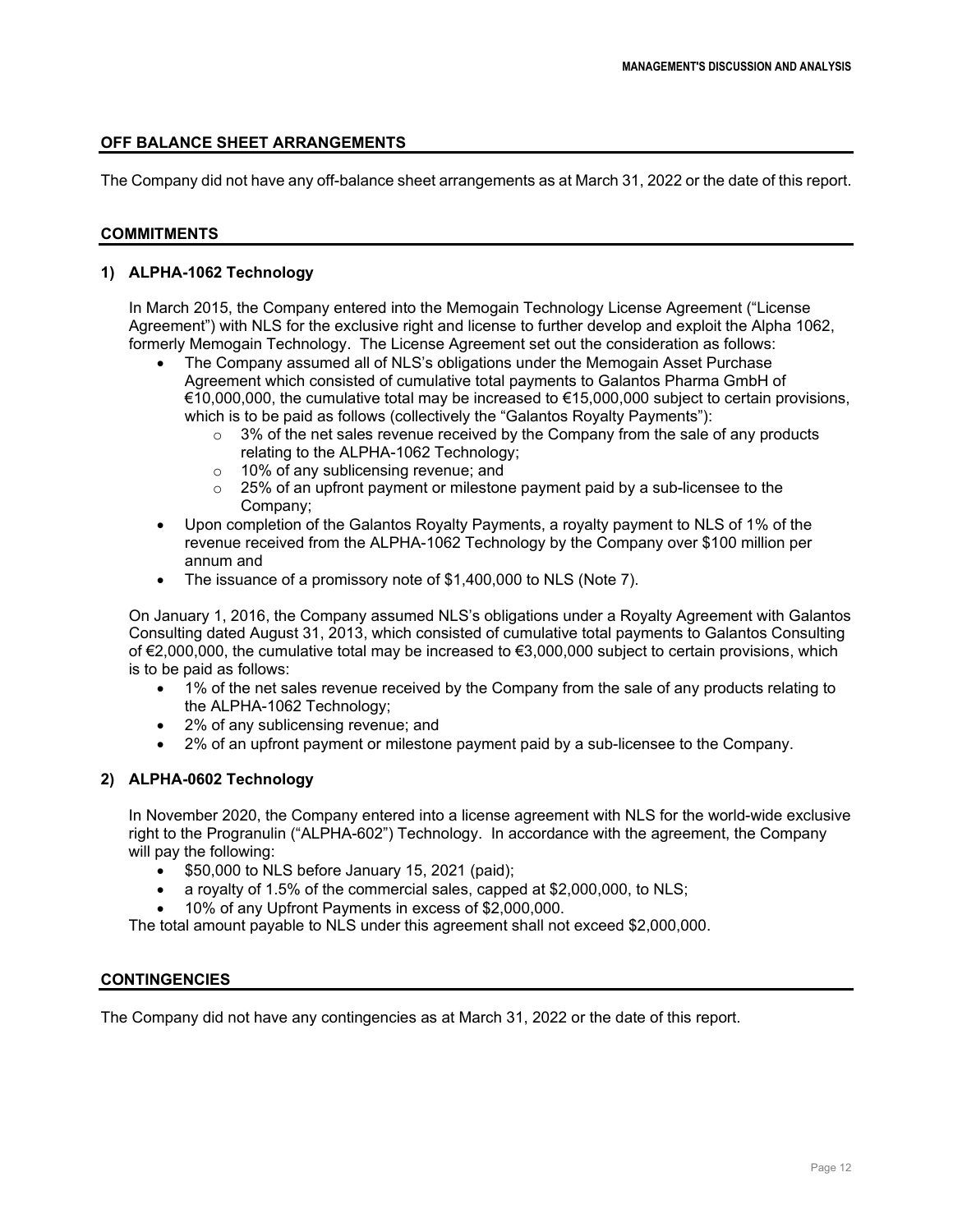## **OFF BALANCE SHEET ARRANGEMENTS**

The Company did not have any off-balance sheet arrangements as at March 31, 2022 or the date of this report.

## **COMMITMENTS**

## **1) ALPHA-1062 Technology**

In March 2015, the Company entered into the Memogain Technology License Agreement ("License Agreement") with NLS for the exclusive right and license to further develop and exploit the Alpha 1062, formerly Memogain Technology. The License Agreement set out the consideration as follows:

- The Company assumed all of NLS's obligations under the Memogain Asset Purchase Agreement which consisted of cumulative total payments to Galantos Pharma GmbH of €10,000,000, the cumulative total may be increased to €15,000,000 subject to certain provisions, which is to be paid as follows (collectively the "Galantos Royalty Payments"):
	- $\circ$  3% of the net sales revenue received by the Company from the sale of any products relating to the ALPHA-1062 Technology;
	- $\circ$  10% of any sublicensing revenue; and<br> $\circ$  25% of an upfront payment or mileston
	- 25% of an upfront payment or milestone payment paid by a sub-licensee to the Company;
- Upon completion of the Galantos Royalty Payments, a royalty payment to NLS of 1% of the revenue received from the ALPHA-1062 Technology by the Company over \$100 million per annum and
- The issuance of a promissory note of \$1,400,000 to NLS (Note 7).

On January 1, 2016, the Company assumed NLS's obligations under a Royalty Agreement with Galantos Consulting dated August 31, 2013, which consisted of cumulative total payments to Galantos Consulting of €2,000,000, the cumulative total may be increased to €3,000,000 subject to certain provisions, which is to be paid as follows:

- 1% of the net sales revenue received by the Company from the sale of any products relating to the ALPHA-1062 Technology;
- 2% of any sublicensing revenue; and
- 2% of an upfront payment or milestone payment paid by a sub-licensee to the Company.

## **2) ALPHA-0602 Technology**

In November 2020, the Company entered into a license agreement with NLS for the world-wide exclusive right to the Progranulin ("ALPHA-602") Technology. In accordance with the agreement, the Company will pay the following:

- \$50,000 to NLS before January 15, 2021 (paid);
- a royalty of 1.5% of the commercial sales, capped at \$2,000,000, to NLS;
- 10% of any Upfront Payments in excess of \$2,000,000.

The total amount payable to NLS under this agreement shall not exceed \$2,000,000.

## **CONTINGENCIES**

The Company did not have any contingencies as at March 31, 2022 or the date of this report.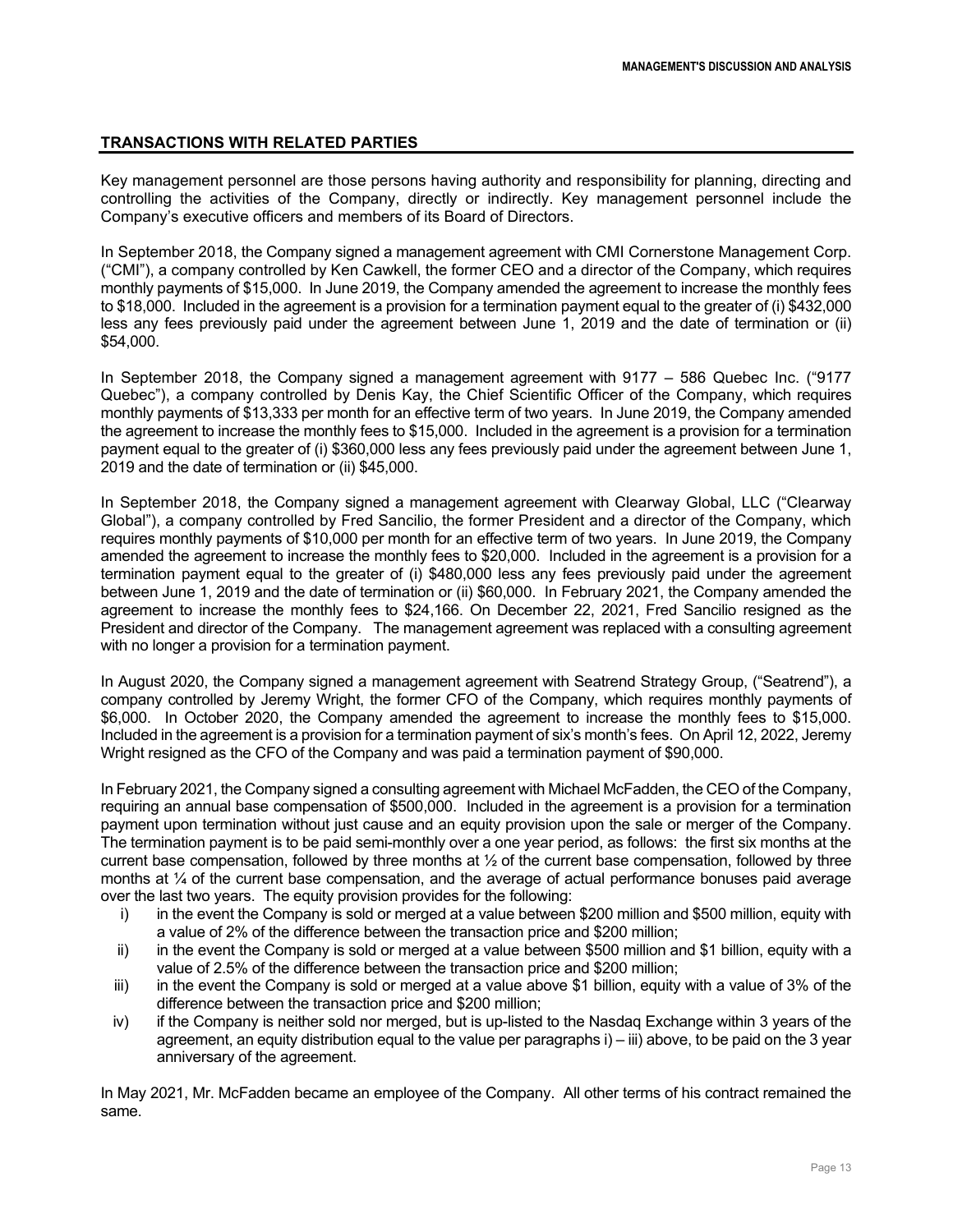# **TRANSACTIONS WITH RELATED PARTIES**

Key management personnel are those persons having authority and responsibility for planning, directing and controlling the activities of the Company, directly or indirectly. Key management personnel include the Company's executive officers and members of its Board of Directors.

In September 2018, the Company signed a management agreement with CMI Cornerstone Management Corp. ("CMI"), a company controlled by Ken Cawkell, the former CEO and a director of the Company, which requires monthly payments of \$15,000. In June 2019, the Company amended the agreement to increase the monthly fees to \$18,000. Included in the agreement is a provision for a termination payment equal to the greater of (i) \$432,000 less any fees previously paid under the agreement between June 1, 2019 and the date of termination or (ii) \$54,000.

In September 2018, the Company signed a management agreement with 9177 – 586 Quebec Inc. ("9177 Quebec"), a company controlled by Denis Kay, the Chief Scientific Officer of the Company, which requires monthly payments of \$13,333 per month for an effective term of two years. In June 2019, the Company amended the agreement to increase the monthly fees to \$15,000. Included in the agreement is a provision for a termination payment equal to the greater of (i) \$360,000 less any fees previously paid under the agreement between June 1, 2019 and the date of termination or (ii) \$45,000.

In September 2018, the Company signed a management agreement with Clearway Global, LLC ("Clearway Global"), a company controlled by Fred Sancilio, the former President and a director of the Company, which requires monthly payments of \$10,000 per month for an effective term of two years. In June 2019, the Company amended the agreement to increase the monthly fees to \$20,000. Included in the agreement is a provision for a termination payment equal to the greater of (i) \$480,000 less any fees previously paid under the agreement between June 1, 2019 and the date of termination or (ii) \$60,000. In February 2021, the Company amended the agreement to increase the monthly fees to \$24,166. On December 22, 2021, Fred Sancilio resigned as the President and director of the Company. The management agreement was replaced with a consulting agreement with no longer a provision for a termination payment.

In August 2020, the Company signed a management agreement with Seatrend Strategy Group, ("Seatrend"), a company controlled by Jeremy Wright, the former CFO of the Company, which requires monthly payments of \$6,000. In October 2020, the Company amended the agreement to increase the monthly fees to \$15,000. Included in the agreement is a provision for a termination payment of six's month's fees. On April 12, 2022, Jeremy Wright resigned as the CFO of the Company and was paid a termination payment of \$90,000.

In February 2021, the Company signed a consulting agreement with Michael McFadden, the CEO of the Company, requiring an annual base compensation of \$500,000. Included in the agreement is a provision for a termination payment upon termination without just cause and an equity provision upon the sale or merger of the Company. The termination payment is to be paid semi-monthly over a one year period, as follows: the first six months at the current base compensation, followed by three months at ½ of the current base compensation, followed by three months at ¼ of the current base compensation, and the average of actual performance bonuses paid average over the last two years. The equity provision provides for the following:

- i) in the event the Company is sold or merged at a value between \$200 million and \$500 million, equity with a value of 2% of the difference between the transaction price and \$200 million;
- ii) in the event the Company is sold or merged at a value between \$500 million and \$1 billion, equity with a value of 2.5% of the difference between the transaction price and \$200 million;
- iii) in the event the Company is sold or merged at a value above \$1 billion, equity with a value of 3% of the difference between the transaction price and \$200 million;
- iv) if the Company is neither sold nor merged, but is up-listed to the Nasdaq Exchange within 3 years of the agreement, an equity distribution equal to the value per paragraphs i) – iii) above, to be paid on the 3 year anniversary of the agreement.

In May 2021, Mr. McFadden became an employee of the Company. All other terms of his contract remained the same.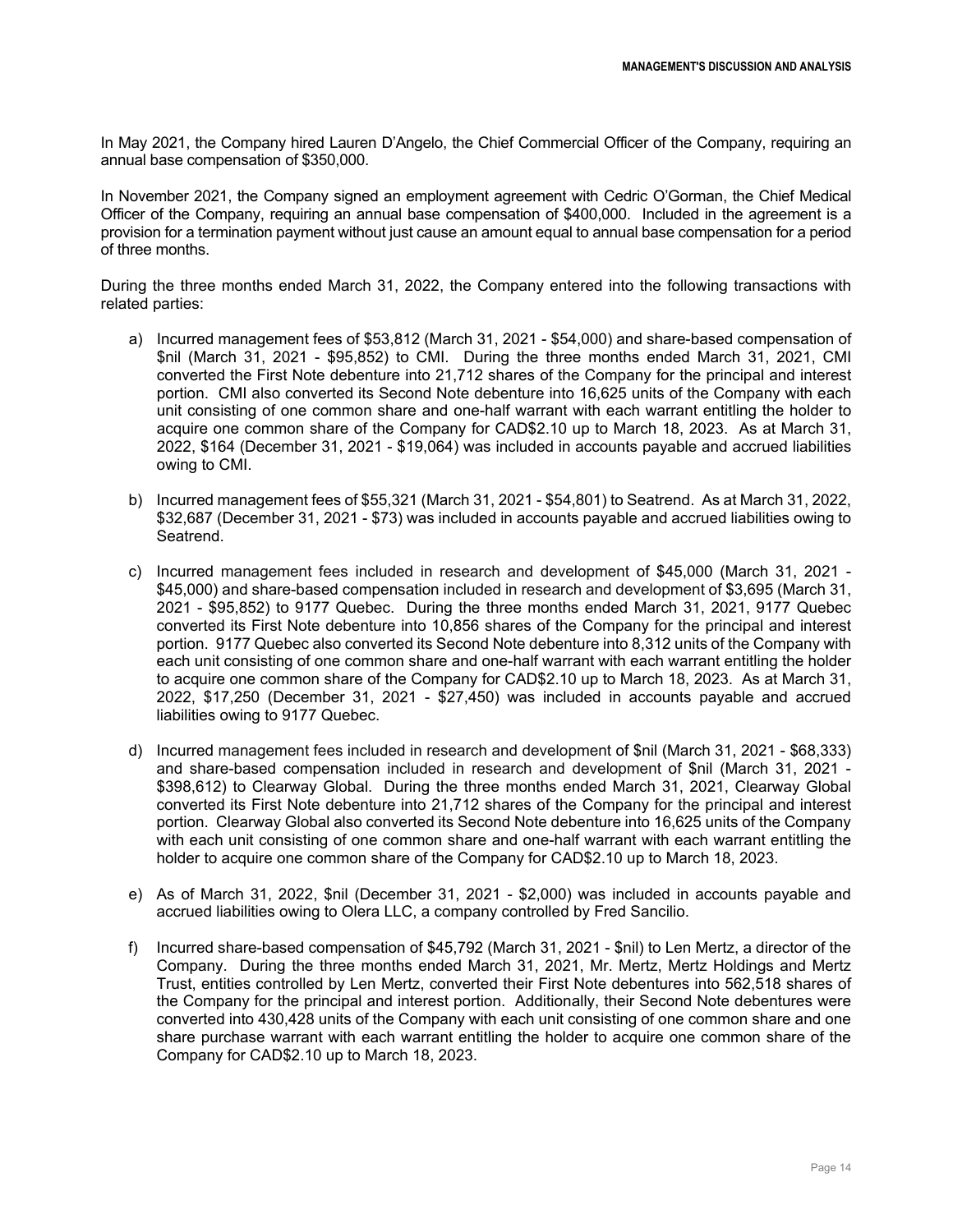In May 2021, the Company hired Lauren D'Angelo, the Chief Commercial Officer of the Company, requiring an annual base compensation of \$350,000.

In November 2021, the Company signed an employment agreement with Cedric O'Gorman, the Chief Medical Officer of the Company, requiring an annual base compensation of \$400,000. Included in the agreement is a provision for a termination payment without just cause an amount equal to annual base compensation for a period of three months.

During the three months ended March 31, 2022, the Company entered into the following transactions with related parties:

- a) Incurred management fees of \$53,812 (March 31, 2021 \$54,000) and share-based compensation of \$nil (March 31, 2021 - \$95,852) to CMI. During the three months ended March 31, 2021, CMI converted the First Note debenture into 21,712 shares of the Company for the principal and interest portion. CMI also converted its Second Note debenture into 16,625 units of the Company with each unit consisting of one common share and one-half warrant with each warrant entitling the holder to acquire one common share of the Company for CAD\$2.10 up to March 18, 2023. As at March 31, 2022, \$164 (December 31, 2021 - \$19,064) was included in accounts payable and accrued liabilities owing to CMI.
- b) Incurred management fees of \$55,321 (March 31, 2021 \$54,801) to Seatrend. As at March 31, 2022, \$32,687 (December 31, 2021 - \$73) was included in accounts payable and accrued liabilities owing to Seatrend.
- c) Incurred management fees included in research and development of \$45,000 (March 31, 2021 \$45,000) and share-based compensation included in research and development of \$3,695 (March 31, 2021 - \$95,852) to 9177 Quebec. During the three months ended March 31, 2021, 9177 Quebec converted its First Note debenture into 10,856 shares of the Company for the principal and interest portion. 9177 Quebec also converted its Second Note debenture into 8,312 units of the Company with each unit consisting of one common share and one-half warrant with each warrant entitling the holder to acquire one common share of the Company for CAD\$2.10 up to March 18, 2023. As at March 31, 2022, \$17,250 (December 31, 2021 - \$27,450) was included in accounts payable and accrued liabilities owing to 9177 Quebec.
- d) Incurred management fees included in research and development of \$nil (March 31, 2021 \$68,333) and share-based compensation included in research and development of \$nil (March 31, 2021 - \$398,612) to Clearway Global. During the three months ended March 31, 2021, Clearway Global converted its First Note debenture into 21,712 shares of the Company for the principal and interest portion. Clearway Global also converted its Second Note debenture into 16,625 units of the Company with each unit consisting of one common share and one-half warrant with each warrant entitling the holder to acquire one common share of the Company for CAD\$2.10 up to March 18, 2023.
- e) As of March 31, 2022, \$nil (December 31, 2021 \$2,000) was included in accounts payable and accrued liabilities owing to Olera LLC, a company controlled by Fred Sancilio.
- f) Incurred share-based compensation of \$45,792 (March 31, 2021 \$nil) to Len Mertz, a director of the Company. During the three months ended March 31, 2021, Mr. Mertz, Mertz Holdings and Mertz Trust, entities controlled by Len Mertz, converted their First Note debentures into 562,518 shares of the Company for the principal and interest portion. Additionally, their Second Note debentures were converted into 430,428 units of the Company with each unit consisting of one common share and one share purchase warrant with each warrant entitling the holder to acquire one common share of the Company for CAD\$2.10 up to March 18, 2023.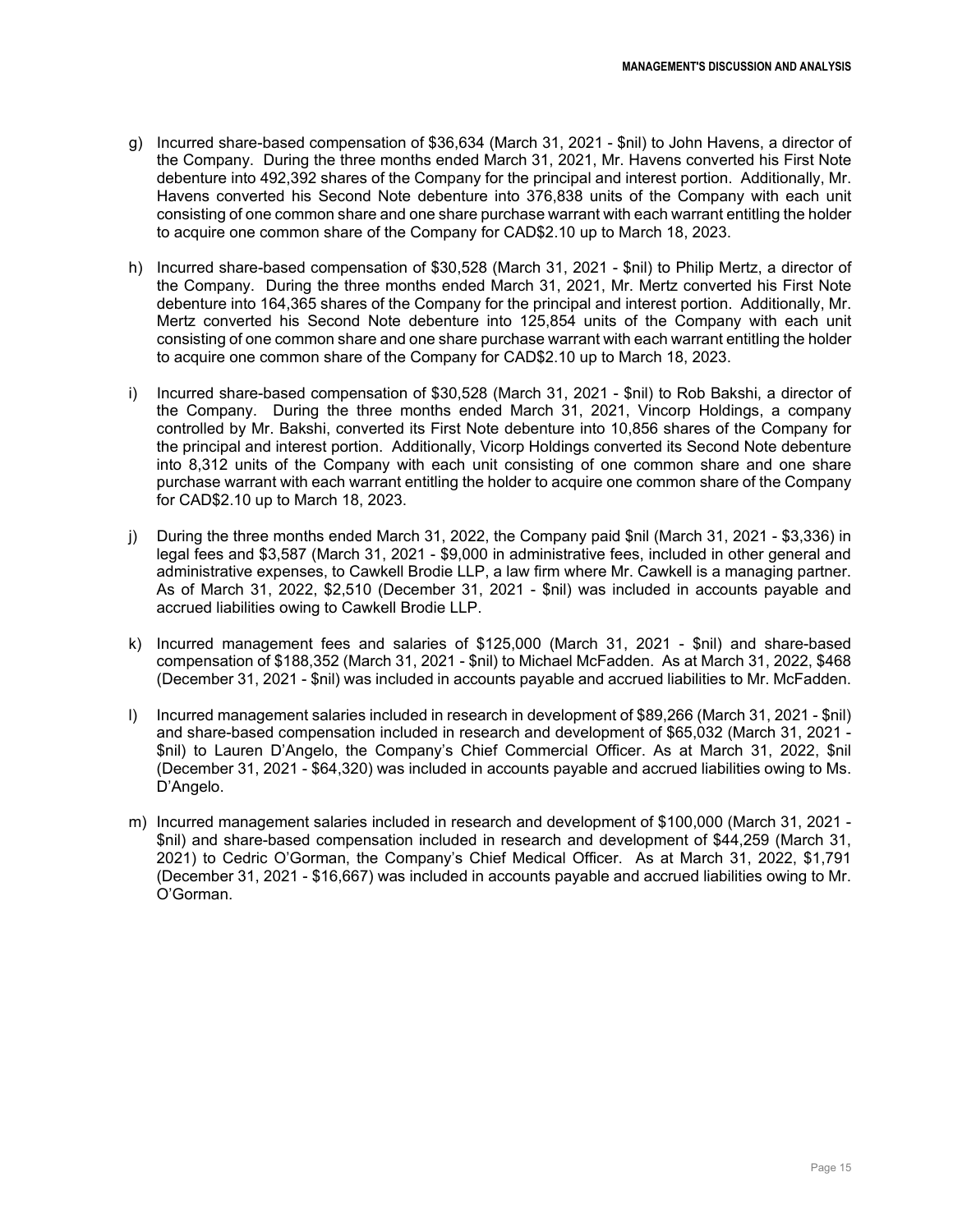- g) Incurred share-based compensation of \$36,634 (March 31, 2021 \$nil) to John Havens, a director of the Company. During the three months ended March 31, 2021, Mr. Havens converted his First Note debenture into 492,392 shares of the Company for the principal and interest portion. Additionally, Mr. Havens converted his Second Note debenture into 376,838 units of the Company with each unit consisting of one common share and one share purchase warrant with each warrant entitling the holder to acquire one common share of the Company for CAD\$2.10 up to March 18, 2023.
- h) Incurred share-based compensation of \$30,528 (March 31, 2021 \$nil) to Philip Mertz, a director of the Company. During the three months ended March 31, 2021, Mr. Mertz converted his First Note debenture into 164,365 shares of the Company for the principal and interest portion. Additionally, Mr. Mertz converted his Second Note debenture into 125,854 units of the Company with each unit consisting of one common share and one share purchase warrant with each warrant entitling the holder to acquire one common share of the Company for CAD\$2.10 up to March 18, 2023.
- i) Incurred share-based compensation of \$30,528 (March 31, 2021 \$nil) to Rob Bakshi, a director of the Company. During the three months ended March 31, 2021, Vincorp Holdings, a company controlled by Mr. Bakshi, converted its First Note debenture into 10,856 shares of the Company for the principal and interest portion. Additionally, Vicorp Holdings converted its Second Note debenture into 8,312 units of the Company with each unit consisting of one common share and one share purchase warrant with each warrant entitling the holder to acquire one common share of the Company for CAD\$2.10 up to March 18, 2023.
- j) During the three months ended March 31, 2022, the Company paid \$nil (March 31, 2021 \$3,336) in legal fees and \$3,587 (March 31, 2021 - \$9,000 in administrative fees, included in other general and administrative expenses, to Cawkell Brodie LLP, a law firm where Mr. Cawkell is a managing partner. As of March 31, 2022, \$2,510 (December 31, 2021 - \$nil) was included in accounts payable and accrued liabilities owing to Cawkell Brodie LLP.
- k) Incurred management fees and salaries of \$125,000 (March 31, 2021 \$nil) and share-based compensation of \$188,352 (March 31, 2021 - \$nil) to Michael McFadden. As at March 31, 2022, \$468 (December 31, 2021 - \$nil) was included in accounts payable and accrued liabilities to Mr. McFadden.
- l) Incurred management salaries included in research in development of \$89,266 (March 31, 2021 \$nil) and share-based compensation included in research and development of \$65,032 (March 31, 2021 - \$nil) to Lauren D'Angelo, the Company's Chief Commercial Officer. As at March 31, 2022, \$nil (December 31, 2021 - \$64,320) was included in accounts payable and accrued liabilities owing to Ms. D'Angelo.
- m) Incurred management salaries included in research and development of \$100,000 (March 31, 2021 \$nil) and share-based compensation included in research and development of \$44,259 (March 31, 2021) to Cedric O'Gorman, the Company's Chief Medical Officer. As at March 31, 2022, \$1,791 (December 31, 2021 - \$16,667) was included in accounts payable and accrued liabilities owing to Mr. O'Gorman.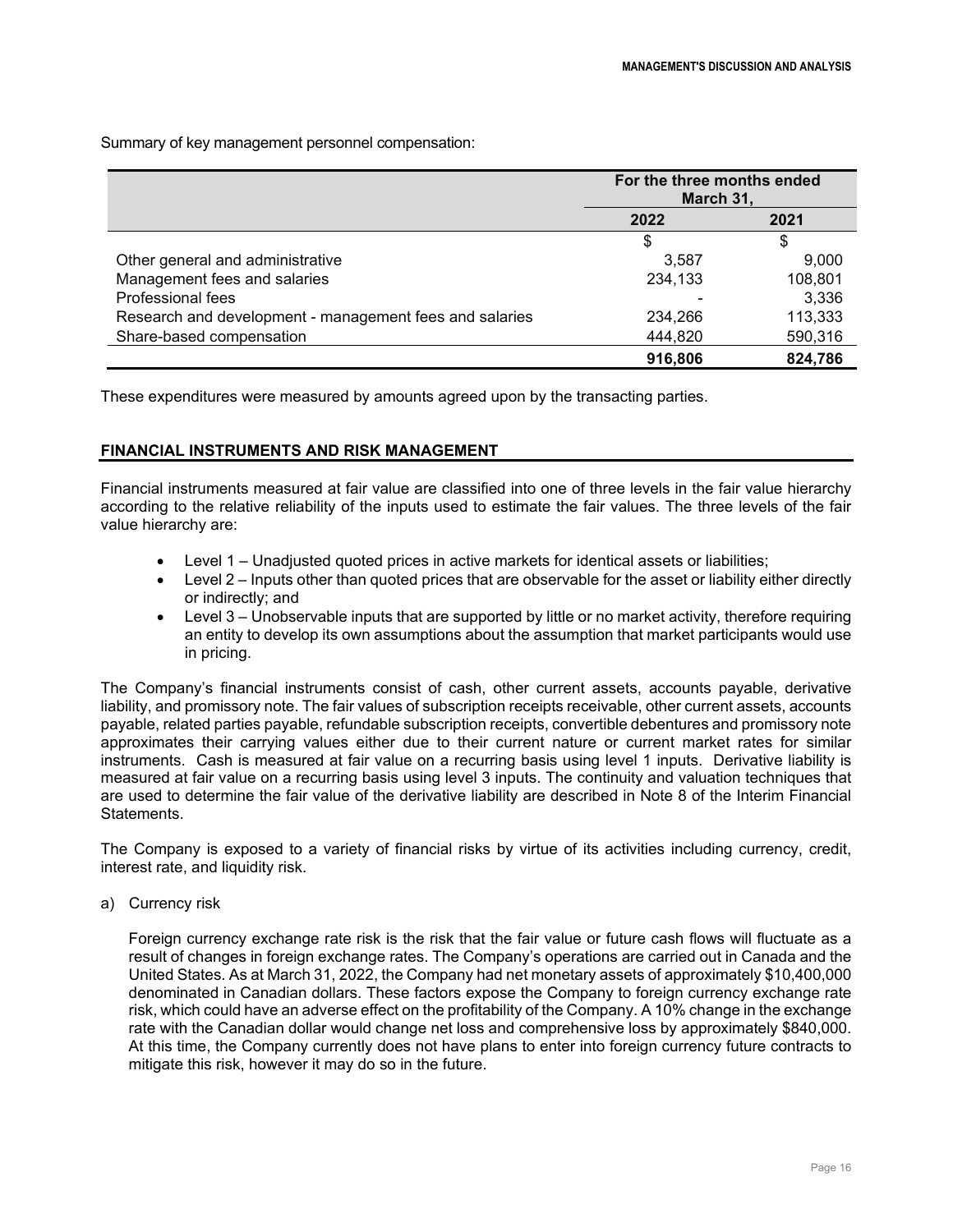Summary of key management personnel compensation:

|                                                         | For the three months ended<br>March 31, |         |  |
|---------------------------------------------------------|-----------------------------------------|---------|--|
|                                                         | 2021<br>2022                            |         |  |
|                                                         | \$                                      |         |  |
| Other general and administrative                        | 3.587                                   | 9,000   |  |
| Management fees and salaries                            | 234,133                                 | 108,801 |  |
| Professional fees                                       |                                         | 3,336   |  |
| Research and development - management fees and salaries | 234,266                                 | 113,333 |  |
| Share-based compensation                                | 444,820                                 | 590,316 |  |
|                                                         | 916,806                                 | 824,786 |  |

These expenditures were measured by amounts agreed upon by the transacting parties.

## **FINANCIAL INSTRUMENTS AND RISK MANAGEMENT**

Financial instruments measured at fair value are classified into one of three levels in the fair value hierarchy according to the relative reliability of the inputs used to estimate the fair values. The three levels of the fair value hierarchy are:

- Level 1 Unadjusted quoted prices in active markets for identical assets or liabilities;
- Level 2 Inputs other than quoted prices that are observable for the asset or liability either directly or indirectly; and
- Level 3 Unobservable inputs that are supported by little or no market activity, therefore requiring an entity to develop its own assumptions about the assumption that market participants would use in pricing.

The Company's financial instruments consist of cash, other current assets, accounts payable, derivative liability, and promissory note. The fair values of subscription receipts receivable, other current assets, accounts payable, related parties payable, refundable subscription receipts, convertible debentures and promissory note approximates their carrying values either due to their current nature or current market rates for similar instruments. Cash is measured at fair value on a recurring basis using level 1 inputs. Derivative liability is measured at fair value on a recurring basis using level 3 inputs. The continuity and valuation techniques that are used to determine the fair value of the derivative liability are described in Note 8 of the Interim Financial Statements.

The Company is exposed to a variety of financial risks by virtue of its activities including currency, credit, interest rate, and liquidity risk.

a) Currency risk

Foreign currency exchange rate risk is the risk that the fair value or future cash flows will fluctuate as a result of changes in foreign exchange rates. The Company's operations are carried out in Canada and the United States. As at March 31, 2022, the Company had net monetary assets of approximately \$10,400,000 denominated in Canadian dollars. These factors expose the Company to foreign currency exchange rate risk, which could have an adverse effect on the profitability of the Company. A 10% change in the exchange rate with the Canadian dollar would change net loss and comprehensive loss by approximately \$840,000. At this time, the Company currently does not have plans to enter into foreign currency future contracts to mitigate this risk, however it may do so in the future.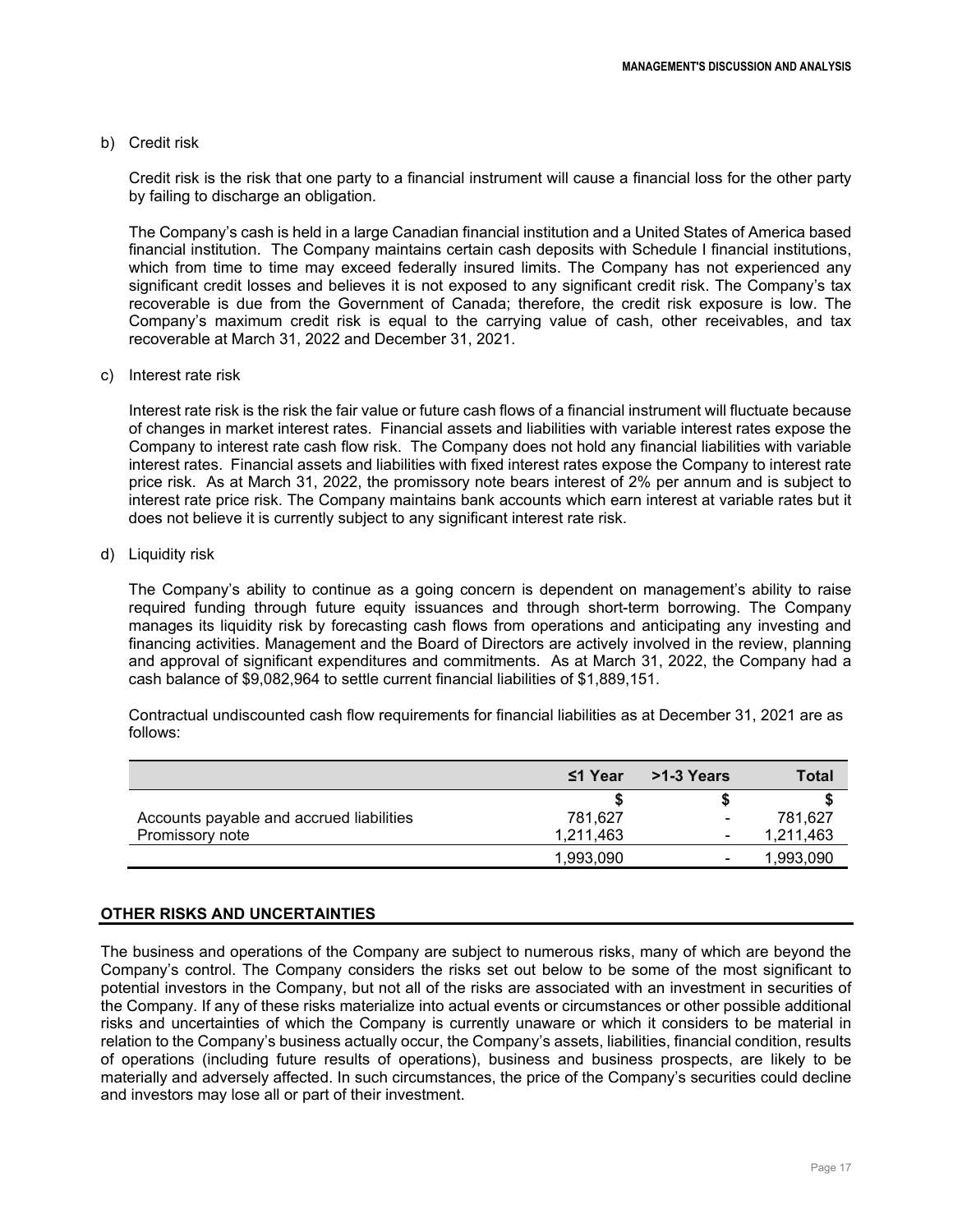#### b) Credit risk

Credit risk is the risk that one party to a financial instrument will cause a financial loss for the other party by failing to discharge an obligation.

The Company's cash is held in a large Canadian financial institution and a United States of America based financial institution. The Company maintains certain cash deposits with Schedule I financial institutions, which from time to time may exceed federally insured limits. The Company has not experienced any significant credit losses and believes it is not exposed to any significant credit risk. The Company's tax recoverable is due from the Government of Canada; therefore, the credit risk exposure is low. The Company's maximum credit risk is equal to the carrying value of cash, other receivables, and tax recoverable at March 31, 2022 and December 31, 2021.

c) Interest rate risk

Interest rate risk is the risk the fair value or future cash flows of a financial instrument will fluctuate because of changes in market interest rates. Financial assets and liabilities with variable interest rates expose the Company to interest rate cash flow risk. The Company does not hold any financial liabilities with variable interest rates. Financial assets and liabilities with fixed interest rates expose the Company to interest rate price risk. As at March 31, 2022, the promissory note bears interest of 2% per annum and is subject to interest rate price risk. The Company maintains bank accounts which earn interest at variable rates but it does not believe it is currently subject to any significant interest rate risk.

#### d) Liquidity risk

The Company's ability to continue as a going concern is dependent on management's ability to raise required funding through future equity issuances and through short-term borrowing. The Company manages its liquidity risk by forecasting cash flows from operations and anticipating any investing and financing activities. Management and the Board of Directors are actively involved in the review, planning and approval of significant expenditures and commitments. As at March 31, 2022, the Company had a cash balance of \$9,082,964 to settle current financial liabilities of \$1,889,151.

Contractual undiscounted cash flow requirements for financial liabilities as at December 31, 2021 are as follows:

|                                          | $\leq$ 1 Year | >1-3 Years | <b>Total</b> |
|------------------------------------------|---------------|------------|--------------|
|                                          |               |            |              |
| Accounts payable and accrued liabilities | 781,627       | -          | 781,627      |
| Promissory note                          | 1,211,463     |            | 1,211,463    |
|                                          | 1.993.090     |            | 1.993.090    |

#### **OTHER RISKS AND UNCERTAINTIES**

The business and operations of the Company are subject to numerous risks, many of which are beyond the Company's control. The Company considers the risks set out below to be some of the most significant to potential investors in the Company, but not all of the risks are associated with an investment in securities of the Company. If any of these risks materialize into actual events or circumstances or other possible additional risks and uncertainties of which the Company is currently unaware or which it considers to be material in relation to the Company's business actually occur, the Company's assets, liabilities, financial condition, results of operations (including future results of operations), business and business prospects, are likely to be materially and adversely affected. In such circumstances, the price of the Company's securities could decline and investors may lose all or part of their investment.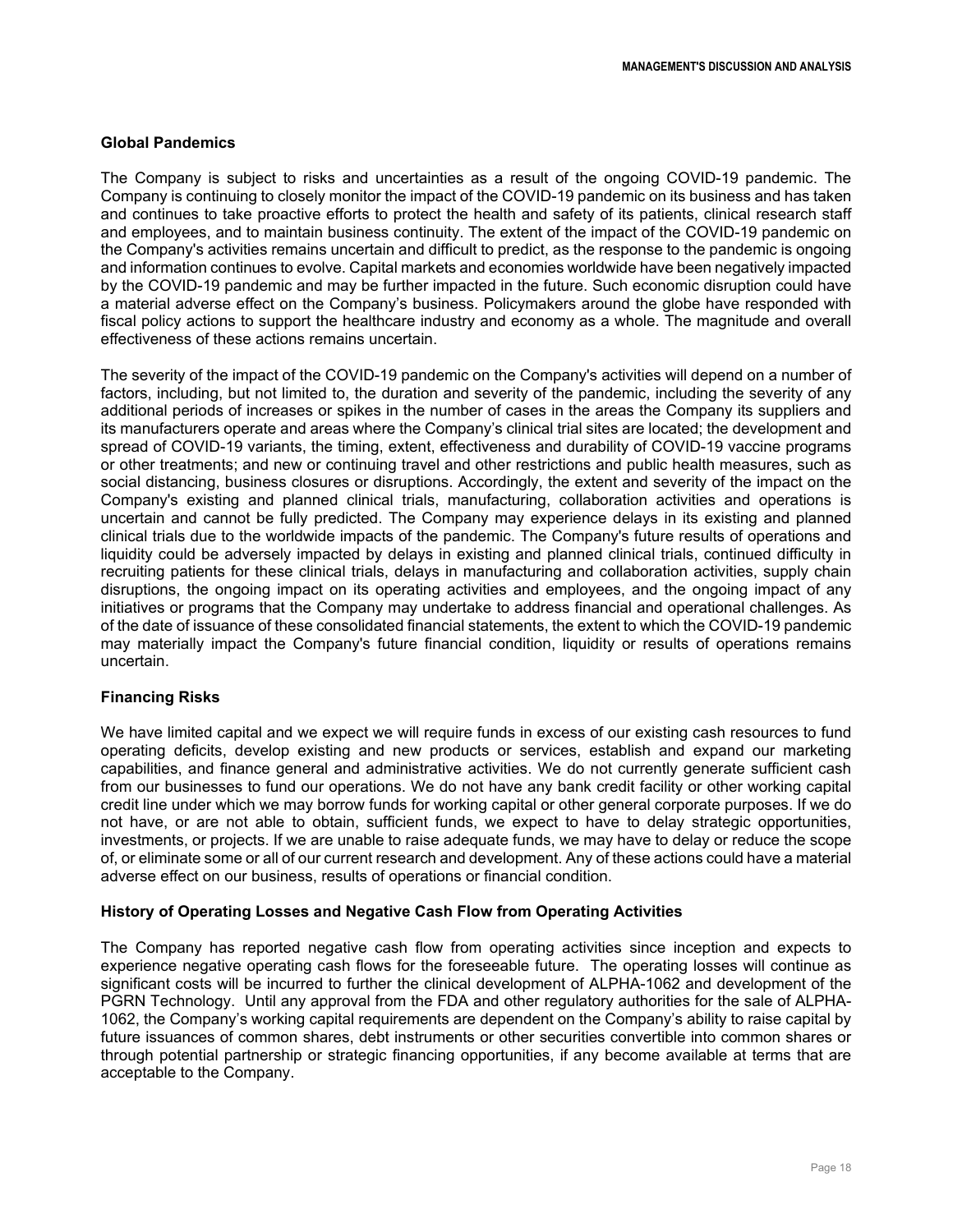## **Global Pandemics**

The Company is subject to risks and uncertainties as a result of the ongoing COVID-19 pandemic. The Company is continuing to closely monitor the impact of the COVID-19 pandemic on its business and has taken and continues to take proactive efforts to protect the health and safety of its patients, clinical research staff and employees, and to maintain business continuity. The extent of the impact of the COVID-19 pandemic on the Company's activities remains uncertain and difficult to predict, as the response to the pandemic is ongoing and information continues to evolve. Capital markets and economies worldwide have been negatively impacted by the COVID-19 pandemic and may be further impacted in the future. Such economic disruption could have a material adverse effect on the Company's business. Policymakers around the globe have responded with fiscal policy actions to support the healthcare industry and economy as a whole. The magnitude and overall effectiveness of these actions remains uncertain.

The severity of the impact of the COVID-19 pandemic on the Company's activities will depend on a number of factors, including, but not limited to, the duration and severity of the pandemic, including the severity of any additional periods of increases or spikes in the number of cases in the areas the Company its suppliers and its manufacturers operate and areas where the Company's clinical trial sites are located; the development and spread of COVID-19 variants, the timing, extent, effectiveness and durability of COVID-19 vaccine programs or other treatments; and new or continuing travel and other restrictions and public health measures, such as social distancing, business closures or disruptions. Accordingly, the extent and severity of the impact on the Company's existing and planned clinical trials, manufacturing, collaboration activities and operations is uncertain and cannot be fully predicted. The Company may experience delays in its existing and planned clinical trials due to the worldwide impacts of the pandemic. The Company's future results of operations and liquidity could be adversely impacted by delays in existing and planned clinical trials, continued difficulty in recruiting patients for these clinical trials, delays in manufacturing and collaboration activities, supply chain disruptions, the ongoing impact on its operating activities and employees, and the ongoing impact of any initiatives or programs that the Company may undertake to address financial and operational challenges. As of the date of issuance of these consolidated financial statements, the extent to which the COVID-19 pandemic may materially impact the Company's future financial condition, liquidity or results of operations remains uncertain.

## **Financing Risks**

We have limited capital and we expect we will require funds in excess of our existing cash resources to fund operating deficits, develop existing and new products or services, establish and expand our marketing capabilities, and finance general and administrative activities. We do not currently generate sufficient cash from our businesses to fund our operations. We do not have any bank credit facility or other working capital credit line under which we may borrow funds for working capital or other general corporate purposes. If we do not have, or are not able to obtain, sufficient funds, we expect to have to delay strategic opportunities, investments, or projects. If we are unable to raise adequate funds, we may have to delay or reduce the scope of, or eliminate some or all of our current research and development. Any of these actions could have a material adverse effect on our business, results of operations or financial condition.

#### **History of Operating Losses and Negative Cash Flow from Operating Activities**

The Company has reported negative cash flow from operating activities since inception and expects to experience negative operating cash flows for the foreseeable future. The operating losses will continue as significant costs will be incurred to further the clinical development of ALPHA-1062 and development of the PGRN Technology. Until any approval from the FDA and other regulatory authorities for the sale of ALPHA-1062, the Company's working capital requirements are dependent on the Company's ability to raise capital by future issuances of common shares, debt instruments or other securities convertible into common shares or through potential partnership or strategic financing opportunities, if any become available at terms that are acceptable to the Company.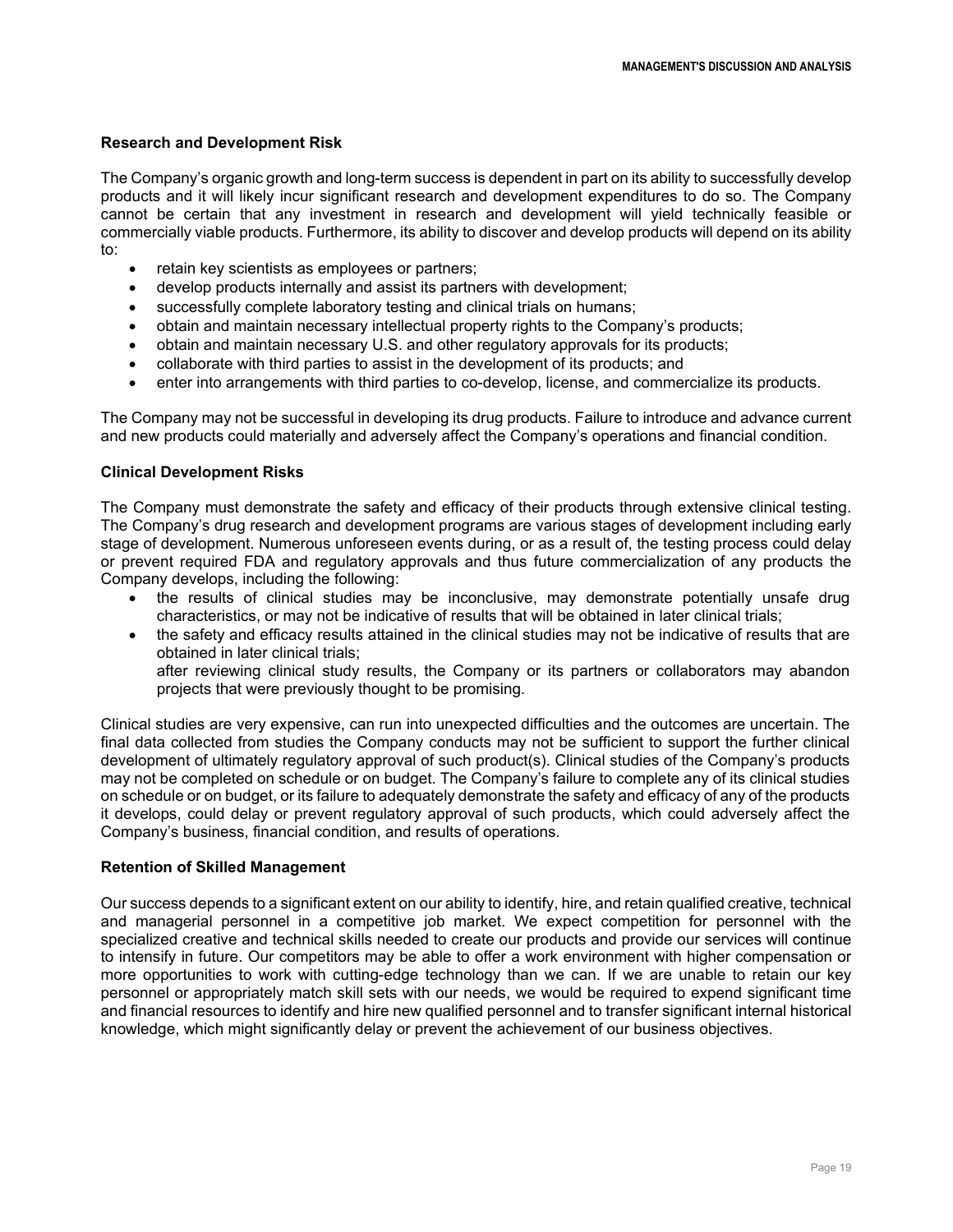## **Research and Development Risk**

The Company's organic growth and long-term success is dependent in part on its ability to successfully develop products and it will likely incur significant research and development expenditures to do so. The Company cannot be certain that any investment in research and development will yield technically feasible or commercially viable products. Furthermore, its ability to discover and develop products will depend on its ability to:

- retain key scientists as employees or partners;
- develop products internally and assist its partners with development;
- successfully complete laboratory testing and clinical trials on humans;
- obtain and maintain necessary intellectual property rights to the Company's products;
- obtain and maintain necessary U.S. and other regulatory approvals for its products;
- collaborate with third parties to assist in the development of its products; and
- enter into arrangements with third parties to co-develop, license, and commercialize its products.

The Company may not be successful in developing its drug products. Failure to introduce and advance current and new products could materially and adversely affect the Company's operations and financial condition.

## **Clinical Development Risks**

The Company must demonstrate the safety and efficacy of their products through extensive clinical testing. The Company's drug research and development programs are various stages of development including early stage of development. Numerous unforeseen events during, or as a result of, the testing process could delay or prevent required FDA and regulatory approvals and thus future commercialization of any products the Company develops, including the following:

- the results of clinical studies may be inconclusive, may demonstrate potentially unsafe drug characteristics, or may not be indicative of results that will be obtained in later clinical trials;
- the safety and efficacy results attained in the clinical studies may not be indicative of results that are obtained in later clinical trials;

after reviewing clinical study results, the Company or its partners or collaborators may abandon projects that were previously thought to be promising.

Clinical studies are very expensive, can run into unexpected difficulties and the outcomes are uncertain. The final data collected from studies the Company conducts may not be sufficient to support the further clinical development of ultimately regulatory approval of such product(s). Clinical studies of the Company's products may not be completed on schedule or on budget. The Company's failure to complete any of its clinical studies on schedule or on budget, or its failure to adequately demonstrate the safety and efficacy of any of the products it develops, could delay or prevent regulatory approval of such products, which could adversely affect the Company's business, financial condition, and results of operations.

## **Retention of Skilled Management**

Our success depends to a significant extent on our ability to identify, hire, and retain qualified creative, technical and managerial personnel in a competitive job market. We expect competition for personnel with the specialized creative and technical skills needed to create our products and provide our services will continue to intensify in future. Our competitors may be able to offer a work environment with higher compensation or more opportunities to work with cutting-edge technology than we can. If we are unable to retain our key personnel or appropriately match skill sets with our needs, we would be required to expend significant time and financial resources to identify and hire new qualified personnel and to transfer significant internal historical knowledge, which might significantly delay or prevent the achievement of our business objectives.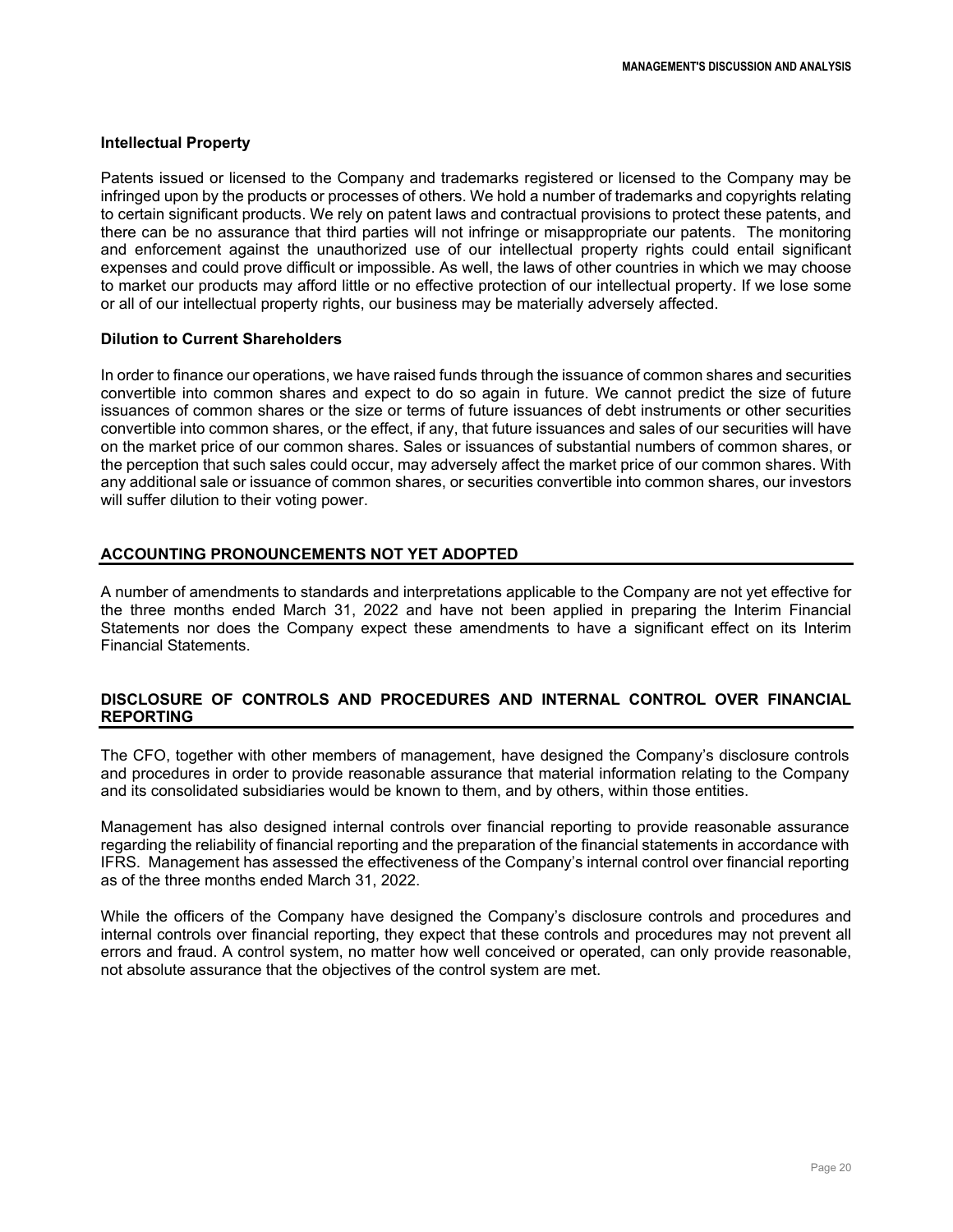#### **Intellectual Property**

Patents issued or licensed to the Company and trademarks registered or licensed to the Company may be infringed upon by the products or processes of others. We hold a number of trademarks and copyrights relating to certain significant products. We rely on patent laws and contractual provisions to protect these patents, and there can be no assurance that third parties will not infringe or misappropriate our patents. The monitoring and enforcement against the unauthorized use of our intellectual property rights could entail significant expenses and could prove difficult or impossible. As well, the laws of other countries in which we may choose to market our products may afford little or no effective protection of our intellectual property. If we lose some or all of our intellectual property rights, our business may be materially adversely affected.

## **Dilution to Current Shareholders**

In order to finance our operations, we have raised funds through the issuance of common shares and securities convertible into common shares and expect to do so again in future. We cannot predict the size of future issuances of common shares or the size or terms of future issuances of debt instruments or other securities convertible into common shares, or the effect, if any, that future issuances and sales of our securities will have on the market price of our common shares. Sales or issuances of substantial numbers of common shares, or the perception that such sales could occur, may adversely affect the market price of our common shares. With any additional sale or issuance of common shares, or securities convertible into common shares, our investors will suffer dilution to their voting power.

## **ACCOUNTING PRONOUNCEMENTS NOT YET ADOPTED**

A number of amendments to standards and interpretations applicable to the Company are not yet effective for the three months ended March 31, 2022 and have not been applied in preparing the Interim Financial Statements nor does the Company expect these amendments to have a significant effect on its Interim Financial Statements.

## **DISCLOSURE OF CONTROLS AND PROCEDURES AND INTERNAL CONTROL OVER FINANCIAL REPORTING**

The CFO, together with other members of management, have designed the Company's disclosure controls and procedures in order to provide reasonable assurance that material information relating to the Company and its consolidated subsidiaries would be known to them, and by others, within those entities.

Management has also designed internal controls over financial reporting to provide reasonable assurance regarding the reliability of financial reporting and the preparation of the financial statements in accordance with IFRS. Management has assessed the effectiveness of the Company's internal control over financial reporting as of the three months ended March 31, 2022.

While the officers of the Company have designed the Company's disclosure controls and procedures and internal controls over financial reporting, they expect that these controls and procedures may not prevent all errors and fraud. A control system, no matter how well conceived or operated, can only provide reasonable, not absolute assurance that the objectives of the control system are met.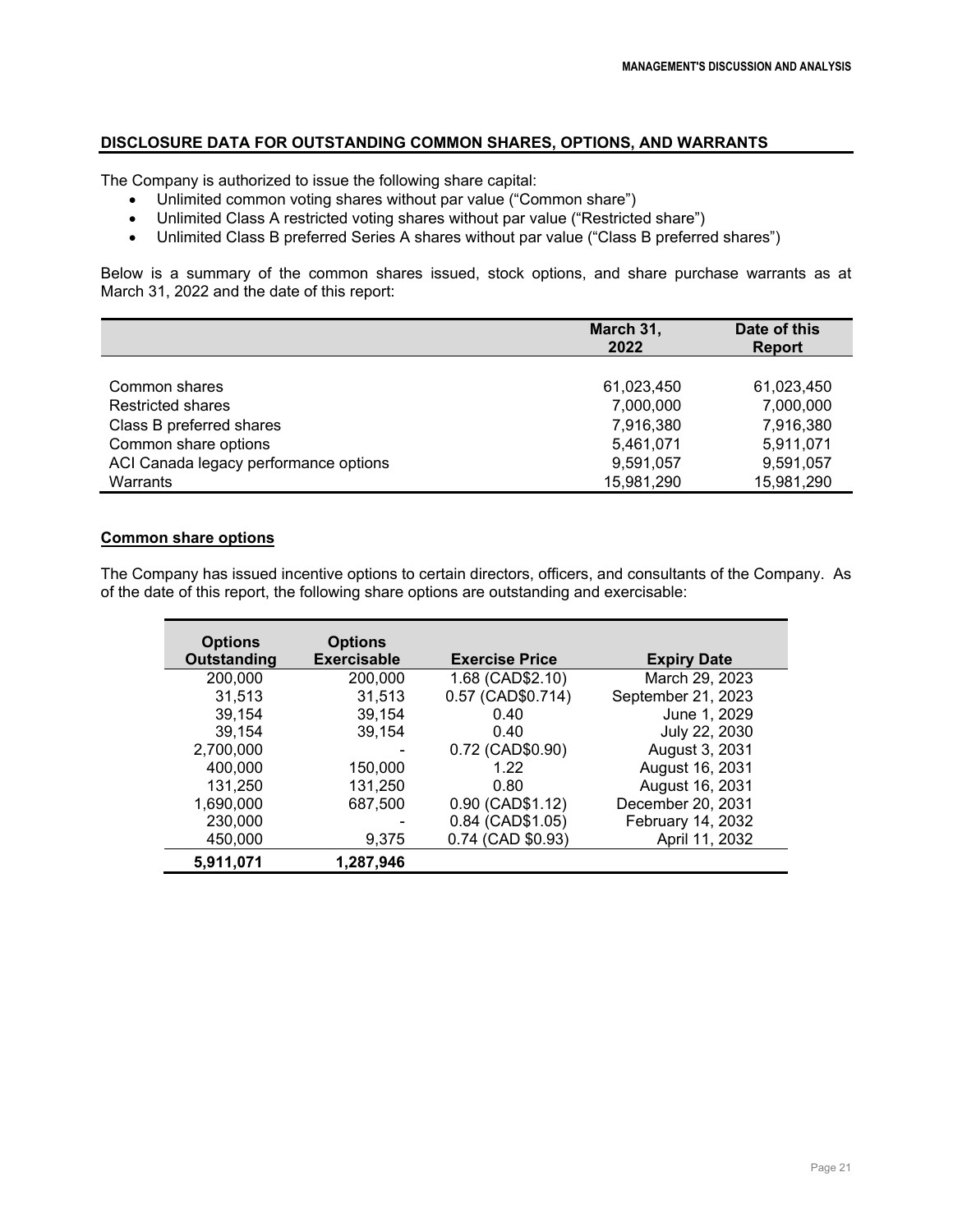# **DISCLOSURE DATA FOR OUTSTANDING COMMON SHARES, OPTIONS, AND WARRANTS**

The Company is authorized to issue the following share capital:

- Unlimited common voting shares without par value ("Common share")
- Unlimited Class A restricted voting shares without par value ("Restricted share")
- Unlimited Class B preferred Series A shares without par value ("Class B preferred shares")

Below is a summary of the common shares issued, stock options, and share purchase warrants as at March 31, 2022 and the date of this report:

|                                       | March 31,<br>2022 | Date of this<br><b>Report</b> |
|---------------------------------------|-------------------|-------------------------------|
|                                       |                   |                               |
| Common shares                         | 61,023,450        | 61,023,450                    |
| <b>Restricted shares</b>              | 7,000,000         | 7,000,000                     |
| Class B preferred shares              | 7,916,380         | 7,916,380                     |
| Common share options                  | 5,461,071         | 5,911,071                     |
| ACI Canada legacy performance options | 9,591,057         | 9,591,057                     |
| Warrants                              | 15,981,290        | 15,981,290                    |

# **Common share options**

The Company has issued incentive options to certain directors, officers, and consultants of the Company. As of the date of this report, the following share options are outstanding and exercisable:

| <b>Options</b><br>Outstanding | <b>Options</b><br><b>Exercisable</b> | <b>Exercise Price</b> | <b>Expiry Date</b> |
|-------------------------------|--------------------------------------|-----------------------|--------------------|
| 200,000                       | 200,000                              | 1.68 (CAD\$2.10)      | March 29, 2023     |
| 31,513                        | 31,513                               | 0.57 (CAD\$0.714)     | September 21, 2023 |
| 39,154                        | 39,154                               | 0.40                  | June 1, 2029       |
| 39,154                        | 39,154                               | 0.40                  | July 22, 2030      |
| 2,700,000                     |                                      | 0.72 (CAD\$0.90)      | August 3, 2031     |
| 400,000                       | 150,000                              | 1.22                  | August 16, 2031    |
| 131,250                       | 131,250                              | 0.80                  | August 16, 2031    |
| 1,690,000                     | 687,500                              | 0.90 (CAD\$1.12)      | December 20, 2031  |
| 230,000                       |                                      | 0.84 (CAD\$1.05)      | February 14, 2032  |
| 450,000                       | 9,375                                | 0.74 (CAD \$0.93)     | April 11, 2032     |
| 5.911.071                     | 1,287,946                            |                       |                    |